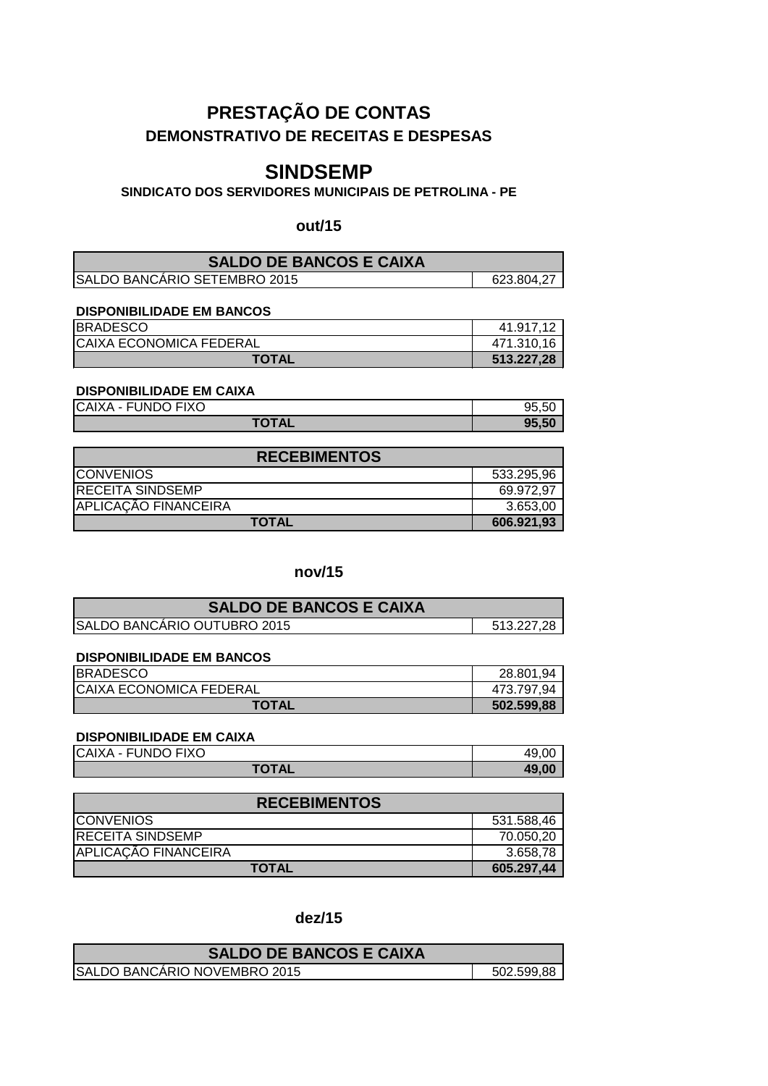## **PRESTAÇÃO DE CONTAS DEMONSTRATIVO DE RECEITAS E DESPESAS**

## **SINDSEMP**

### **SINDICATO DOS SERVIDORES MUNICIPAIS DE PETROLINA - PE**

**out/15**

| <b>SALDO DE BANCOS E CAIXA</b>      |            |
|-------------------------------------|------------|
| <b>SALDO BANCARIO SETEMBRO 2015</b> | 623.804.27 |

#### **DISPONIBILIDADE EM BANCOS**

| <b>IBRADESCO</b>               | 41.91.     |
|--------------------------------|------------|
| <b>CAIXA ECONOMICA FEDERAL</b> | 471.310,16 |
| <b>TOTAL</b>                   | 513.227.28 |

### **DISPONIBILIDADE EM CAIXA**

| CAIXA - FUNDO FIXO | 95,50 |
|--------------------|-------|
| TOTAL              | 95.50 |

| <b>RECEBIMENTOS</b>  |            |
|----------------------|------------|
| <b>CONVENIOS</b>     | 533.295,96 |
| IRECEITA SINDSEMP    | 69.972,97  |
| APLICAÇÃO FINANCEIRA | 3.653,00   |
| <b>TOTAL</b>         | 606.921,93 |

### **nov/15**

| <b>SALDO DE BANCOS E CAIXA</b> |            |
|--------------------------------|------------|
| SALDO BANCÁRIO OUTUBRO 2015    | 513.227.28 |

### **DISPONIBILIDADE EM BANCOS**

| <b>BRADESCO</b>                | 28.801,94  |
|--------------------------------|------------|
| <b>CAIXA ECONOMICA FEDERAL</b> | 473.797,94 |
| <b>TOTAL</b>                   | 502.599.88 |

### **DISPONIBILIDADE EM CAIXA**

| CAIXA - FUNDO FIXO | ΩC<br>49.∖ |
|--------------------|------------|
| <b>TOTAL</b>       | 49.00      |

| <b>RECEBIMENTOS</b>         |            |
|-----------------------------|------------|
| <b>CONVENIOS</b>            | 531.588,46 |
| <b>IRECEITA SINDSEMP</b>    | 70.050,20  |
| <b>APLICAÇÃO FINANCEIRA</b> | 3.658,78   |
| <b>TOTAL</b>                | 605.297,44 |

### **dez/15**

| <b>SALDO DE BANCOS E CAIXA</b>       |            |
|--------------------------------------|------------|
| <b>ISALDO BANCARIO NOVEMBRO 2015</b> | 502.599.88 |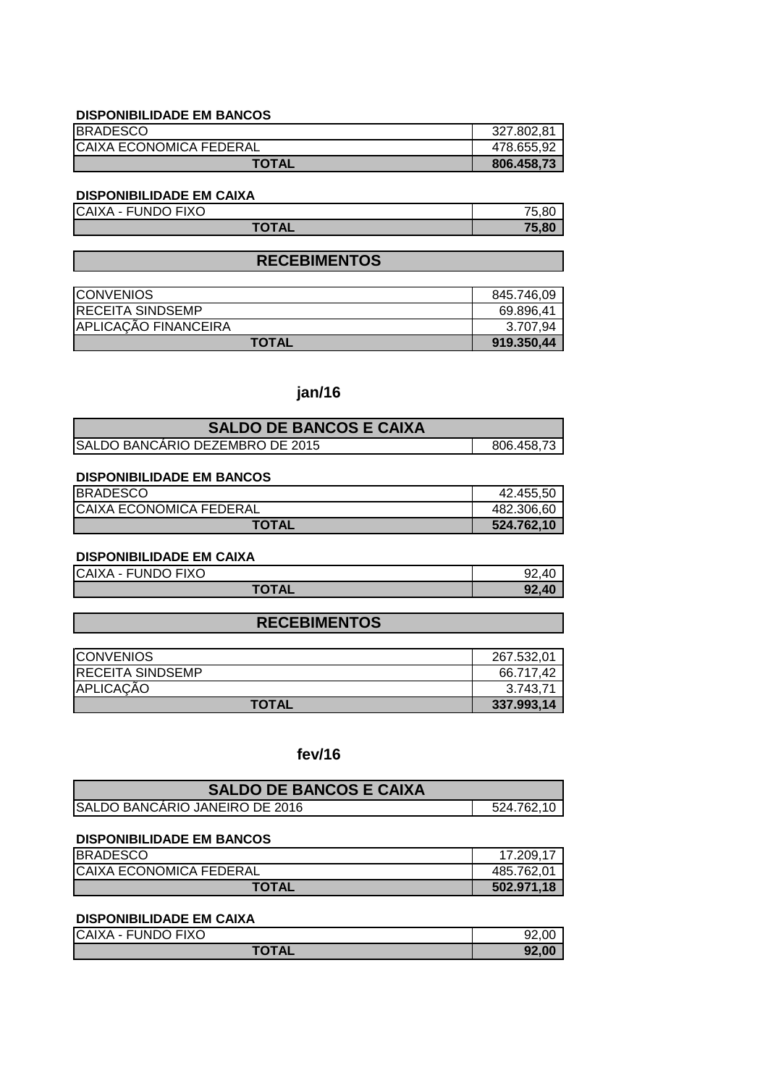### **DISPONIBILIDADE EM BANCOS**

| <b>IBRADESCO</b>               | 327.802.81 |
|--------------------------------|------------|
| <b>CAIXA ECONOMICA FEDERAL</b> | 478.655,92 |
| <b>TOTAL</b>                   | 806.458,73 |

### **DISPONIBILIDADE EM CAIXA**

| CAIXA - FUNDO FIXO | 75.80        |
|--------------------|--------------|
| TOTAL              | <b>75 80</b> |

### **RECEBIMENTOS**

| <b>CONVENIOS</b>        | 845.746,09 |
|-------------------------|------------|
| <b>RECEITA SINDSEMP</b> | 69.896,41  |
| APLICAÇÃO FINANCEIRA    | 3.707.94   |
| <b>TOTAL</b>            | 919.350,44 |

## **jan/16**

| <b>SALDO DE BANCOS E CAIXA</b>          |            |
|-----------------------------------------|------------|
| <b>ISALDO BANCARIO DEZEMBRO DE 2015</b> | 806.458,73 |

#### **DISPONIBILIDADE EM BANCOS**

| <b>BRADESCO</b>                | 42.455.50  |
|--------------------------------|------------|
| <b>CAIXA ECONOMICA FEDERAL</b> | 482.306.60 |
| <b>TOTAL</b>                   | 524.762.10 |

### **DISPONIBILIDADE EM CAIXA**

| <b>ICAIXA - FUNDO FIXO</b> | -40<br>92, |
|----------------------------|------------|
| <b>TOTAL</b>               | 92,40      |

## **RECEBIMENTOS**

| <b>CONVENIOS</b>         | 267.532.01 |
|--------------------------|------------|
| <b>IRECEITA SINDSEMP</b> | 66.717.42  |
| APLICAÇÃO                | 3.743.71   |
| <b>TOTAL</b>             | 337.993.14 |

### **fev/16**

| <b>SALDO DE BANCOS E CAIXA</b>        |            |
|---------------------------------------|------------|
| <b>SALDO BANCARIO JANEIRO DE 2016</b> | 524.762.10 |

#### **DISPONIBILIDADE EM BANCOS**

| <b>IBRADESCO</b>               | 17.209.17  |
|--------------------------------|------------|
| <b>CAIXA ECONOMICA FEDERAL</b> | 485.762,01 |
| <b>TOTAL</b>                   | 502.971.18 |

### **DISPONIBILIDADE EM CAIXA**

| <b>ICAIXA - FUNDO FIXO</b> | n     |
|----------------------------|-------|
| <b>TOTAL</b>               | 92.00 |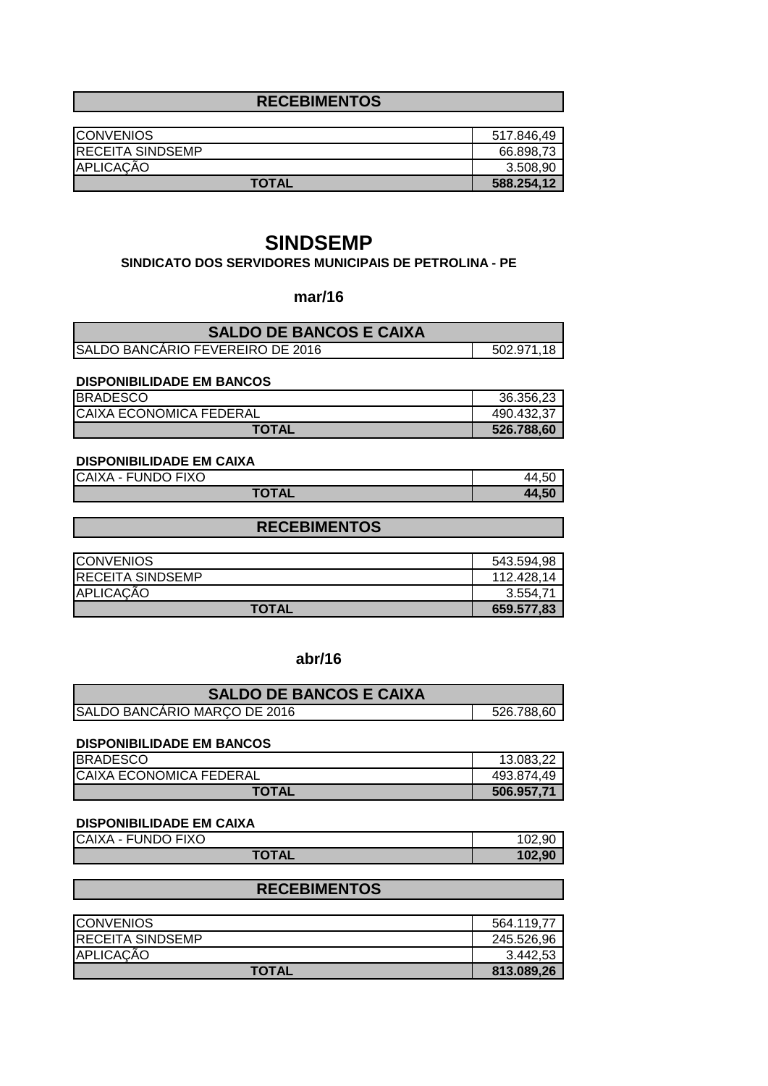## **RECEBIMENTOS**

| <b>TOTAL</b>             | 588.254,12 |
|--------------------------|------------|
| APLICAÇÃO                | 3.508.90   |
| <b>IRECEITA SINDSEMP</b> | 66.898.73  |
| <b>CONVENIOS</b>         | 517.846,49 |

## **SINDSEMP**

### **SINDICATO DOS SERVIDORES MUNICIPAIS DE PETROLINA - PE**

**mar/16**

| <b>SALDO DE BANCOS E CAIXA</b>           |            |
|------------------------------------------|------------|
| <b>ISALDO BANCARIO FEVEREIRO DE 2016</b> | 502.971.18 |

### **DISPONIBILIDADE EM BANCOS**

| <b>BRADESCO</b>                | 36.356.23  |
|--------------------------------|------------|
| <b>CAIXA ECONOMICA FEDERAL</b> | 490.432.37 |
| <b>TOTAL</b>                   | 526.788,60 |

### **DISPONIBILIDADE EM CAIXA**

| CAIXA - FUNDO FIXO | 44.50                    |
|--------------------|--------------------------|
| <b>TOTAL</b>       | 4.50 <sub>1</sub><br>AA. |

### **RECEBIMENTOS**

| <b>ICONVENIOS</b>        | 543.594,98 |
|--------------------------|------------|
| <b>IRECEITA SINDSEMP</b> | 112.428.14 |
| APLICAÇÃO                | 3.554.71   |
| <b>TOTAL</b>             | 659.577.83 |

### **abr/16**

| <b>SALDO DE BANCOS E CAIXA</b> |            |
|--------------------------------|------------|
| SALDO BANCÁRIO MARÇO DE 2016   | 526.788.60 |

#### **DISPONIBILIDADE EM BANCOS**

| <b>BRADESCO</b>                | 13.083,22  |
|--------------------------------|------------|
| <b>CAIXA ECONOMICA FEDERAL</b> | 493.874.49 |
| <b>TOTAL</b>                   | 506.957.71 |

### **DISPONIBILIDADE EM CAIXA**

| CAIXA - FUNDO FIXO | 102,90 |
|--------------------|--------|
| TOTAL              | 102,90 |

### **RECEBIMENTOS**

| <b>CONVENIOS</b>        | 564.119.77 |
|-------------------------|------------|
| <b>RECEITA SINDSEMP</b> | 245.526,96 |
| APLICAÇÃO               | 3.442,53   |
| <b>TOTAL</b>            | 813.089,26 |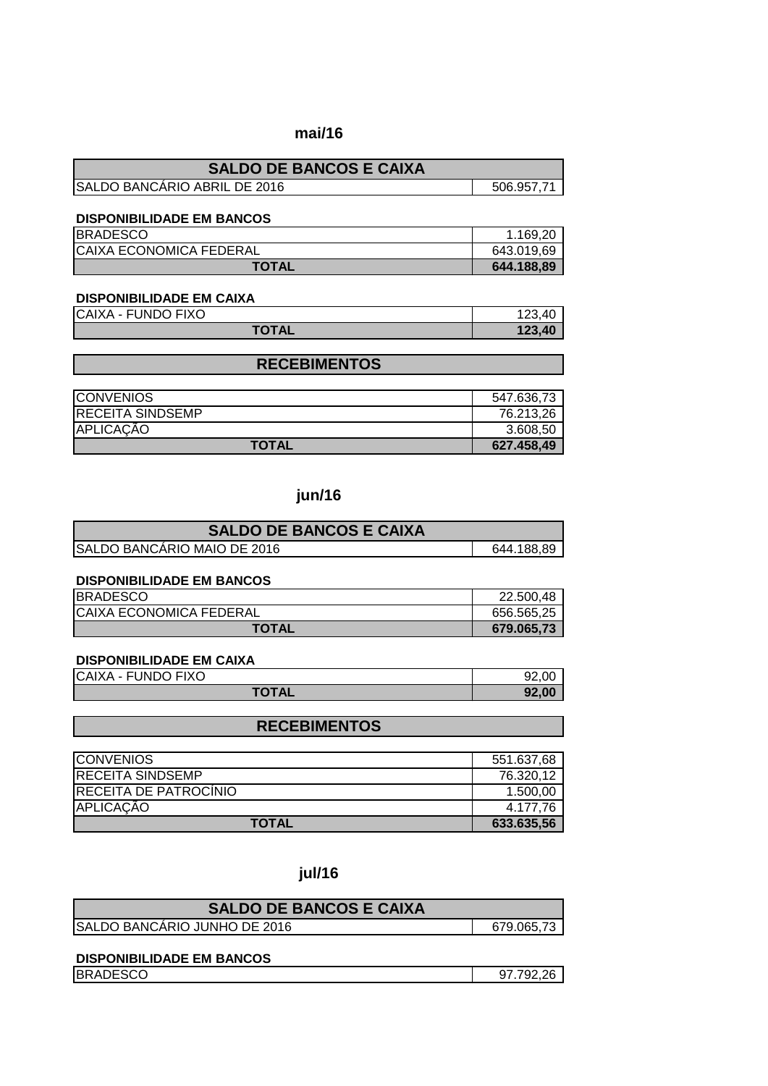### **mai/16**

| <b>SALDO DE BANCOS E CAIXA</b> |            |
|--------------------------------|------------|
| ISALDO BANCARIO ABRIL DE 2016  | 506.957.71 |

### **DISPONIBILIDADE EM BANCOS**

| <b>BRADESCO</b>                | 1.169.20   |
|--------------------------------|------------|
| <b>CAIXA ECONOMICA FEDERAL</b> | 643.019.69 |
| <b>TOTAL</b>                   | 644.188.89 |

#### **DISPONIBILIDADE EM CAIXA**

| CAIXA - FUNDO FIXO | лr     |
|--------------------|--------|
| TOTAL              | 123,40 |

## **RECEBIMENTOS**

| <b>ICONVENIOS</b>        | 547.636,73 |
|--------------------------|------------|
| <b>IRECEITA SINDSEMP</b> | 76.213.26  |
| APLICAÇÃO                | 3.608,50   |
| <b>TOTAL</b>             | 627.458.49 |

## **jun/16**

| <b>SALDO DE BANCOS E CAIXA</b>     |            |
|------------------------------------|------------|
| <b>SALDO BANCARIO MAIO DE 2016</b> | 644.188.89 |

#### **DISPONIBILIDADE EM BANCOS**

| <b>IBRADESCO</b>               | 22,500.48  |
|--------------------------------|------------|
| <b>CAIXA ECONOMICA FEDERAL</b> | 656.565.25 |
| TOTAL                          | 679.065.73 |

### **DISPONIBILIDADE EM CAIXA**

| <b>CAIXA - FUNDO FIXO</b> |       |
|---------------------------|-------|
| TOTAL                     | 92.00 |

### **RECEBIMENTOS**

| <b>ICONVENIOS</b>        | 551.637,68 |
|--------------------------|------------|
| <b>IRECEITA SINDSEMP</b> | 76.320.12  |
| RECEITA DE PATROCÍNIO    | 1.500.00   |
| APLICACÃO                | 4.177.76   |
| <b>TOTAL</b>             | 633.635,56 |

### **jul/16**

| <b>SALDO DE BANCOS E CAIXA</b>       |            |
|--------------------------------------|------------|
| <b>ISALDO BANCARIO JUNHO DE 2016</b> | 679.065,73 |
|                                      |            |

## **DISPONIBILIDADE EM BANCOS**

| <b>BRADESCO</b> | חר ו<br>.<br>. |
|-----------------|----------------|
|                 |                |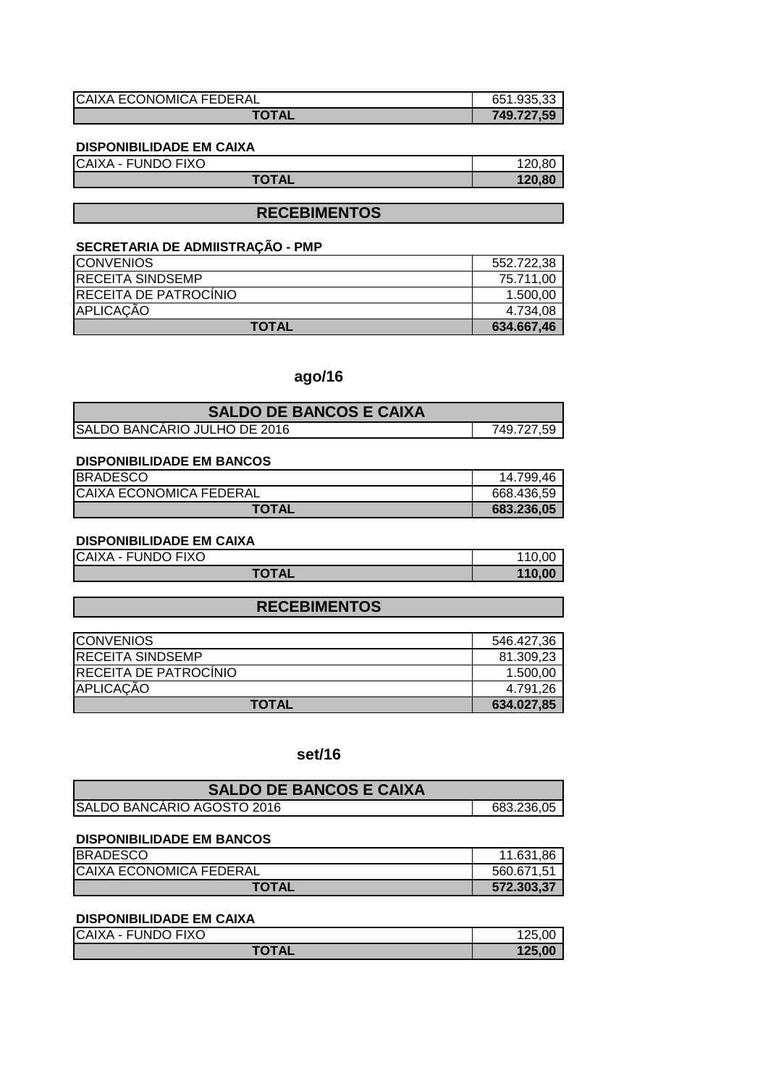| <b>CAIXA ECONOMICA FEDERAL</b> | 1.935 i<br>b5.<br><b>J.V.</b> |
|--------------------------------|-------------------------------|
|                                | .59<br>749.72.                |

### **DISPONIBILIDADE EM CAIXA**

| CAIXA - FUNDO FIXO | 120,80 |
|--------------------|--------|
| TOTAL              | 120,80 |

## **RECEBIMENTOS**

### **SECRETARIA DE ADMIISTRAÇÃO - PMP**

| <b>ICONVENIOS</b>        | 552.722,38 |
|--------------------------|------------|
| <b>IRECEITA SINDSEMP</b> | 75.711,00  |
| IRECEITA DE PATROCINIO   | 1.500.00   |
| APLICAÇÃO                | 4.734.08   |
| <b>TOTAL</b>             | 634.667,46 |

### **ago/16**

| <b>SALDO DE BANCOS E CAIXA</b> |             |
|--------------------------------|-------------|
| ISALDO BANCARIO JULHO DE 2016  | 749.727,59, |

### **DISPONIBILIDADE EM BANCOS**

| <b>IBRADESCO</b>               | 14.799.46  |
|--------------------------------|------------|
| <b>CAIXA ECONOMICA FEDERAL</b> | 668.436.59 |
| <b>TOTAL</b>                   | 683.236.05 |

### **DISPONIBILIDADE EM CAIXA**

| CAIXA - FUNDO FIXO | 110.00 |
|--------------------|--------|
| <b>TOTAL</b>       | 110.00 |
|                    |        |

### **RECEBIMENTOS**

| <b>CONVENIOS</b>       | 546.427.36 |
|------------------------|------------|
| IRECEITA SINDSEMP      | 81.309.23  |
| IRECEITA DE PATROCINIO | 1.500.00   |
| APLICAÇÃO              | 4.791.26   |
| <b>TOTAL</b>           | 634.027,85 |

### **set/16**

| <b>SALDO DE BANCOS E CAIXA</b>    |            |
|-----------------------------------|------------|
| <b>SALDO BANCARIO AGOSTO 2016</b> | 683.236.05 |

#### **DISPONIBILIDADE EM BANCOS**

| <b>IBRADESCO</b>               | 11.631,86  |
|--------------------------------|------------|
| <b>CAIXA ECONOMICA FEDERAL</b> | 560.671,51 |
| <b>TOTAL</b>                   | 572.303,37 |

### **DISPONIBILIDADE EM CAIXA**

| <b>ICAIXA - FUNDO FIXO</b> | 125.0  |
|----------------------------|--------|
| TOTAL                      | 125,00 |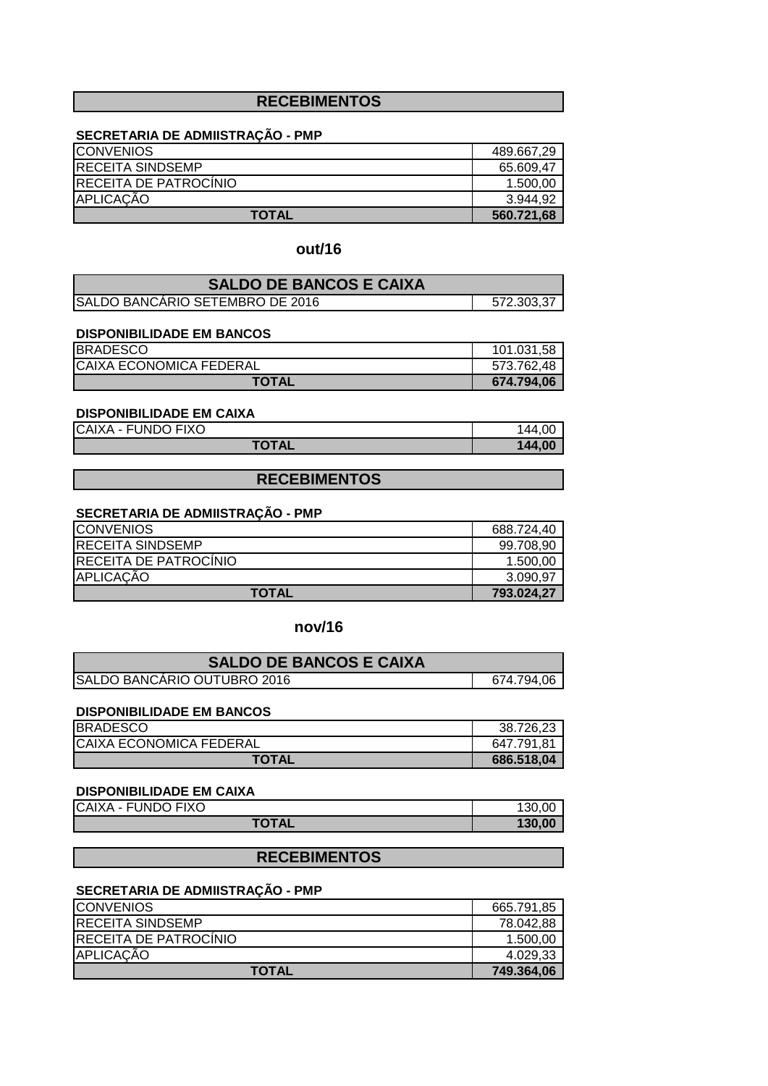### **RECEBIMENTOS**

### **SECRETARIA DE ADMIISTRAÇÃO - PMP**

| <b>ICONVENIOS</b>        | 489.667.29 |
|--------------------------|------------|
| <b>IRECEITA SINDSEMP</b> | 65.609,47  |
| IRECEITA DE PATROCINIO   | 1.500.00   |
| APLICAÇÃO                | 3.944.92   |
| <b>TOTAL</b>             | 560.721.68 |

### **out/16**

| <b>SALDO DE BANCOS E CAIXA</b>  |            |
|---------------------------------|------------|
| SALDO BANCARIO SETEMBRO DE 2016 | 572.303.37 |

#### **DISPONIBILIDADE EM BANCOS**

| <b>BRADESCO</b>                | 101.031.58 |
|--------------------------------|------------|
| <b>CAIXA ECONOMICA FEDERAL</b> | 573.762.48 |
| <b>TOTAL</b>                   | 674.794.06 |

#### **DISPONIBILIDADE EM CAIXA**

| 144.00 | <b>ICAIXA - FUNDO FIXO</b> | 144.00 |
|--------|----------------------------|--------|
|        | <b>TOTAL</b>               |        |

## **RECEBIMENTOS**

### **SECRETARIA DE ADMIISTRAÇÃO - PMP**

| <b>ICONVENIOS</b>            | 688.724.40 |
|------------------------------|------------|
| <b>IRECEITA SINDSEMP</b>     | 99.708.90  |
| <b>RECEITA DE PATROCÍNIO</b> | 1.500.00   |
| APLICAÇÃO                    | 3.090.97   |
| <b>TOTAL</b>                 | 793.024.27 |

#### **nov/16**

| <b>SALDO DE BANCOS E CAIXA</b> |            |
|--------------------------------|------------|
| SALDO BANCÁRIO OUTUBRO 2016    | 674.794,06 |

#### **DISPONIBILIDADE EM BANCOS**

| <b>IBRADESCO</b>               | 38.726.23  |
|--------------------------------|------------|
| <b>CAIXA ECONOMICA FEDERAL</b> | 647.791.81 |
| <b>TOTAL</b>                   | 686.518.04 |

#### **DISPONIBILIDADE EM CAIXA**

| <b>ICAIXA - FUNDO FIXO</b> | 130,00 |
|----------------------------|--------|
| <b>TOTAL</b>               | 130,00 |

### **RECEBIMENTOS**

### **SECRETARIA DE ADMIISTRAÇÃO - PMP**

| <b>ICONVENIOS</b>             | 665.791,85 |
|-------------------------------|------------|
| <b>IRECEITA SINDSEMP</b>      | 78.042.88  |
| <b>IRECEITA DE PATROCINIO</b> | 1.500.00   |
| APLICAÇÃO                     | 4.029.33   |
| <b>TOTAL</b>                  | 749.364,06 |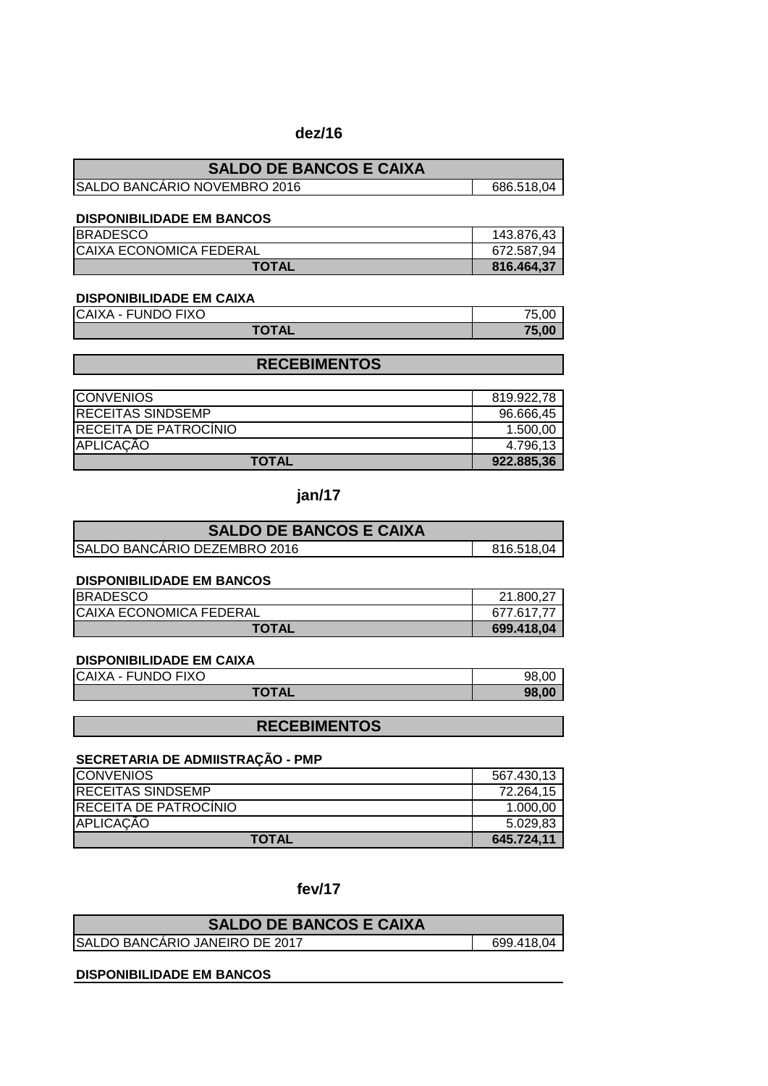### **dez/16**

| <b>SALDO DE BANCOS E CAIXA</b> |            |
|--------------------------------|------------|
| ISALDO BANCARIO NOVEMBRO 2016  | 686.518.04 |

### **DISPONIBILIDADE EM BANCOS**

| <b>BRADESCO</b>                | 143.876,43 |
|--------------------------------|------------|
| <b>CAIXA ECONOMICA FEDERAL</b> | 672.587.94 |
| <b>TOTAL</b>                   | 816.464,37 |

#### **DISPONIBILIDADE EM CAIXA**

| CAIXA - FUNDO FIXO | 75. OC |
|--------------------|--------|
| TOTAL              | 75,00  |

## **RECEBIMENTOS**

| <b>ICONVENIOS</b>             | 819.922.78 |
|-------------------------------|------------|
| <b>IRECEITAS SINDSEMP</b>     | 96.666,45  |
| <b>IRECEITA DE PATROCINIO</b> | 1.500.00   |
| APLICAÇÃO                     | 4.796.13   |
| <b>TOTAL</b>                  | 922.885,36 |

## **jan/17**

| <b>SALDO DE BANCOS E CAIXA</b>       |            |
|--------------------------------------|------------|
| <b>ISALDO BANCARIO DEZEMBRO 2016</b> | 816.518,04 |

#### **DISPONIBILIDADE EM BANCOS**

| <b>IBRADESCO</b>               | 21.800.27  |
|--------------------------------|------------|
| <b>CAIXA ECONOMICA FEDERAL</b> | 677.617.77 |
| <b>TOTAL</b>                   | 699.418,04 |

### **DISPONIBILIDADE EM CAIXA**

| <b>CAIXA - FUNDO FIXO</b> | 98.00 |
|---------------------------|-------|
| <b>TOTAL</b>              | 98.00 |

### **RECEBIMENTOS**

### **SECRETARIA DE ADMIISTRAÇÃO - PMP**

| <b>ICONVENIOS</b>      | 567.430.13 |
|------------------------|------------|
| IRECEITAS SINDSEMP     | 72.264.15  |
| IRECEITA DE PATROCÍNIO | 1.000.00   |
| APLICAÇÃO              | 5.029,83   |
| <b>TOTAL</b>           | 645.724.11 |

### **fev/17**

| <b>SALDO DE BANCOS E CAIXA</b>        |            |
|---------------------------------------|------------|
| <b>SALDO BANCARIO JANEIRO DE 2017</b> | 699.418.04 |

#### **DISPONIBILIDADE EM BANCOS**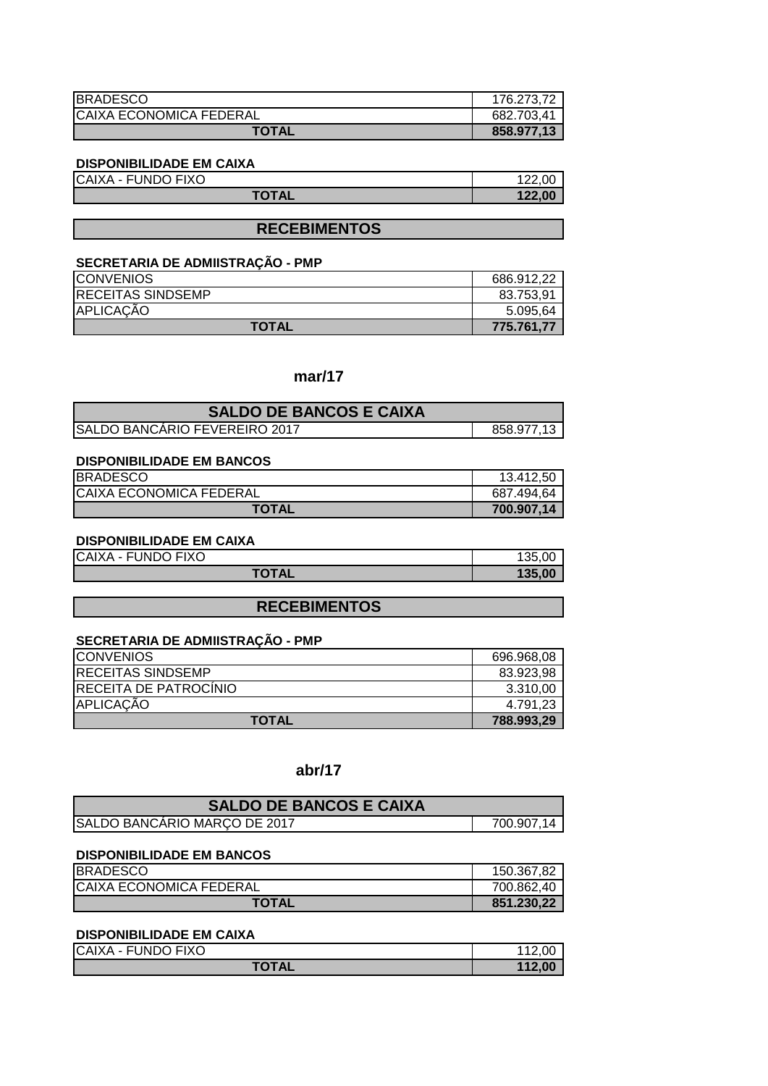| <b>BRADESCO</b>                | 176.273.72 |
|--------------------------------|------------|
| <b>CAIXA ECONOMICA FEDERAL</b> | 682.703,41 |
| <b>TOTAL</b>                   | 858,977.13 |

### **DISPONIBILIDADE EM CAIXA**

| <b>CAIXA - FUNDO FIXO</b> | $\epsilon$ |
|---------------------------|------------|
| <b>TOTAL</b>              | 122,00     |

### **RECEBIMENTOS**

### **SECRETARIA DE ADMIISTRAÇÃO - PMP**

| <b>CONVENIOS</b>         | 686.912.22 |
|--------------------------|------------|
| <b>RECEITAS SINDSEMP</b> | 83.753,91  |
| APLICAÇÃO                | 5.095.64   |
| <b>TOTAL</b>             | 775.761.77 |

### **mar/17**

| <b>SALDO DE BANCOS E CAIXA</b>        |            |
|---------------------------------------|------------|
| <b>ISALDO BANCARIO FEVEREIRO 2017</b> | 858.977,13 |

### **DISPONIBILIDADE EM BANCOS**

| <b>IBRADESCO</b>               | 13.412.50  |
|--------------------------------|------------|
| <b>CAIXA ECONOMICA FEDERAL</b> | 687.494.64 |
| <b>TOTAL</b>                   | 700.907,14 |

#### **DISPONIBILIDADE EM CAIXA**

| CAIXA - FUNDO FIXO | 135,00 |
|--------------------|--------|
| TOTAL              | 135,00 |

### **RECEBIMENTOS**

### **SECRETARIA DE ADMIISTRAÇÃO - PMP**

| <b>CONVENIOS</b>          | 696.968.08 |
|---------------------------|------------|
| <b>IRECEITAS SINDSEMP</b> | 83.923.98  |
| RECEITA DE PATROCÍNIO     | 3.310.00   |
| APLICAÇÃO                 | 4.791.23   |
| <b>TOTAL</b>              | 788.993,29 |

### **abr/17**

| <b>SALDO DE BANCOS E CAIXA</b> |            |
|--------------------------------|------------|
| SALDO BANCÁRIO MARÇO DE 2017   | 700.907.14 |

#### **DISPONIBILIDADE EM BANCOS**

| <b>IBRADESCO</b>               | 150.367,82 |
|--------------------------------|------------|
| <b>CAIXA ECONOMICA FEDERAL</b> | 700.862,40 |
| <b>TOTAL</b>                   | 851.230,22 |

### **DISPONIBILIDADE EM CAIXA**

| CAIXA - FUNDO FIXO |        |
|--------------------|--------|
| <b>TOTAL</b>       | 112,00 |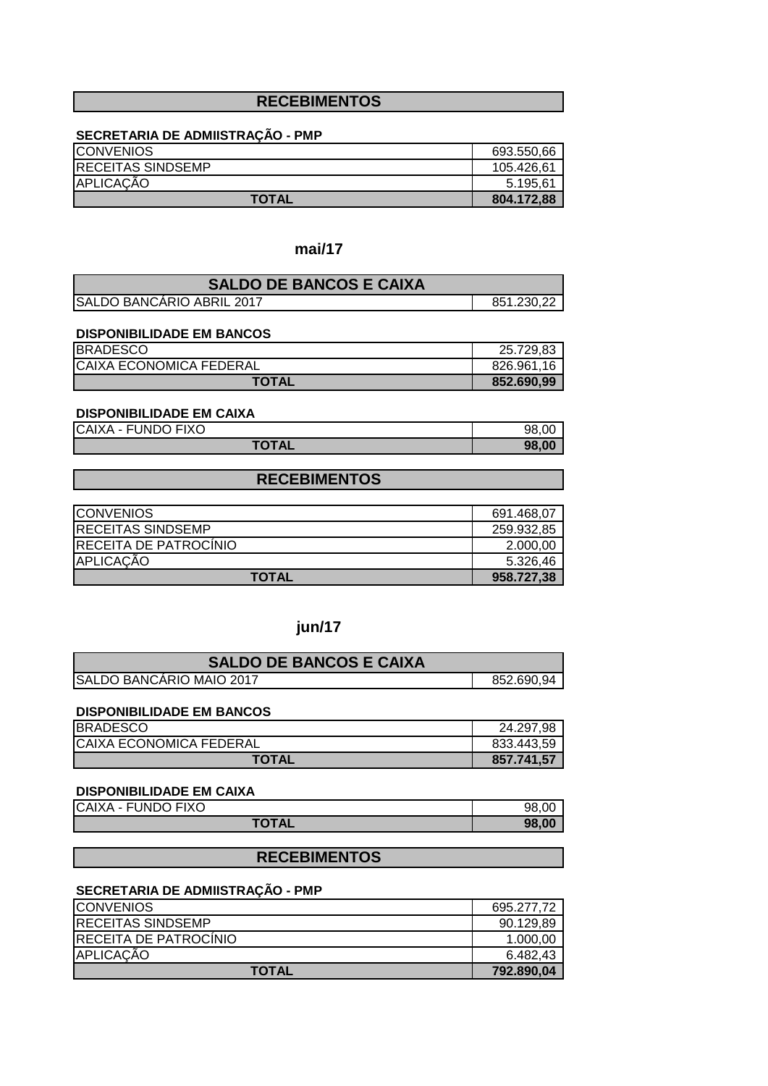### **RECEBIMENTOS**

### **SECRETARIA DE ADMIISTRAÇÃO - PMP**

| <b>CONVENIOS</b>         | 693.550,66 |
|--------------------------|------------|
| <b>RECEITAS SINDSEMP</b> | 105.426,61 |
| <b>APLICAÇÃO</b>         | 5.195.61   |
| <b>TOTAL</b>             | 804.172,88 |

### **mai/17**

| <b>SALDO DE BANCOS E CAIXA</b>   |            |
|----------------------------------|------------|
| <b>SALDO BANCARIO ABRIL 2017</b> | 851.230.22 |

#### **DISPONIBILIDADE EM BANCOS**

| <b>BRADESCO</b>                | 25.729.83  |
|--------------------------------|------------|
| <b>CAIXA ECONOMICA FEDERAL</b> | 826.961.16 |
| <b>TOTAL</b>                   | 852.690.99 |

### **DISPONIBILIDADE EM CAIXA**

| CAIXA - FUNDO FIXC |  |  |
|--------------------|--|--|
|--------------------|--|--|

| <b>CAIXA - FUNDO FIXO</b> | 98.   |
|---------------------------|-------|
| <b>TOTAL</b>              | 98.00 |

## **RECEBIMENTOS**

| <b>ICONVENIOS</b>             | 691.468.07 |
|-------------------------------|------------|
| <b>IRECEITAS SINDSEMP</b>     | 259.932.85 |
| <b>IRECEITA DE PATROCINIO</b> | 2.000.00   |
| <b>APLICACÃO</b>              | 5.326.46   |
| <b>TOTAL</b>                  | 958.727,38 |

## **jun/17**

| <b>SALDO DE BANCOS E CAIXA</b>  |            |
|---------------------------------|------------|
| <b>SALDO BANCARIO MAIO 2017</b> | 852.690.94 |

### **DISPONIBILIDADE EM BANCOS**

| <b>BRADESCO</b>                | 24.297.98  |
|--------------------------------|------------|
| <b>CAIXA ECONOMICA FEDERAL</b> | 833.443,59 |
| <b>TOTAL</b>                   | 857.741.57 |

#### **DISPONIBILIDADE EM CAIXA**

| CAIXA - FUNDO FIXO | 98    |
|--------------------|-------|
| <b>TOTAL</b>       | 98.00 |

## **RECEBIMENTOS**

### **SECRETARIA DE ADMIISTRAÇÃO - PMP**

| <b>TOTAL</b>                  | 792.890,04 |
|-------------------------------|------------|
| APLICACÃO                     | 6.482.43   |
| <b>IRECEITA DE PATROCINIO</b> | 1.000.00   |
| <b>IRECEITAS SINDSEMP</b>     | 90.129.89  |
| <b>ICONVENIOS</b>             | 695.277.72 |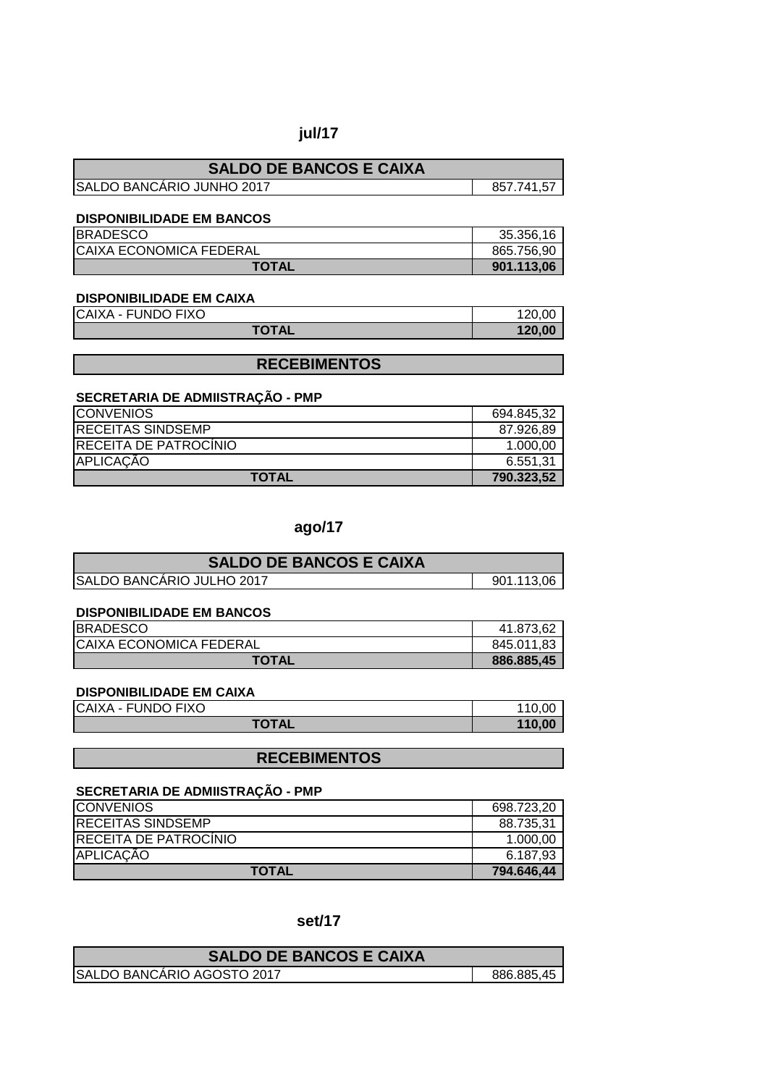## **jul/17**

| <b>SALDO DE BANCOS E CAIXA</b>   |            |
|----------------------------------|------------|
| <b>SALDO BANCARIO JUNHO 2017</b> | 857.741.57 |

### **DISPONIBILIDADE EM BANCOS**

| <b>BRADESCO</b>                | 35.356,16  |
|--------------------------------|------------|
| <b>CAIXA ECONOMICA FEDERAL</b> | 865.756.90 |
| <b>TOTAL</b>                   | 901.113.06 |

#### **DISPONIBILIDADE EM CAIXA**

| <b>CAIXA - FUNDO FIXO</b> | 0۲.ر<br>∩רי |
|---------------------------|-------------|
| <b>TOTAL</b>              | 120,00      |

## **RECEBIMENTOS**

#### **SECRETARIA DE ADMIISTRAÇÃO - PMP**

| <b>ICONVENIOS</b>             | 694.845,32 |
|-------------------------------|------------|
| <b>IRECEITAS SINDSEMP</b>     | 87.926.89  |
| <b>IRECEITA DE PATROCINIO</b> | 1.000.00   |
| <b>APLICAÇÃO</b>              | 6.551.31   |
| <b>TOTAL</b>                  | 790.323,52 |

### **ago/17**

| <b>SALDO DE BANCOS E CAIXA</b>    |            |
|-----------------------------------|------------|
| <b>ISALDO BANCARIO JULHO 2017</b> | 901.113.06 |

#### **DISPONIBILIDADE EM BANCOS**

| <b>IBRADESCO</b>               | 41.873,62  |
|--------------------------------|------------|
| <b>CAIXA ECONOMICA FEDERAL</b> | 845.011.83 |
| <b>TOTAL</b>                   | 886.885,45 |

#### **DISPONIBILIDADE EM CAIXA**

| <b>ICAIXA - FUNDO FIXO</b> |        |
|----------------------------|--------|
| TOTAL                      | 110,00 |

## **RECEBIMENTOS**

### **SECRETARIA DE ADMIISTRAÇÃO - PMP**

| <b>ICONVENIOS</b>             | 698.723.20 |
|-------------------------------|------------|
| <b>IRECEITAS SINDSEMP</b>     | 88.735.31  |
| <b>IRECEITA DE PATROCINIO</b> | 1.000.00   |
| <b>APLICACÃO</b>              | 6.187.93   |
| <b>TOTAL</b>                  | 794.646.44 |

#### **set/17**

| <b>SALDO DE BANCOS E CAIXA</b>     |            |
|------------------------------------|------------|
| <b>ISALDO BANCARIO AGOSTO 2017</b> | 886.885,45 |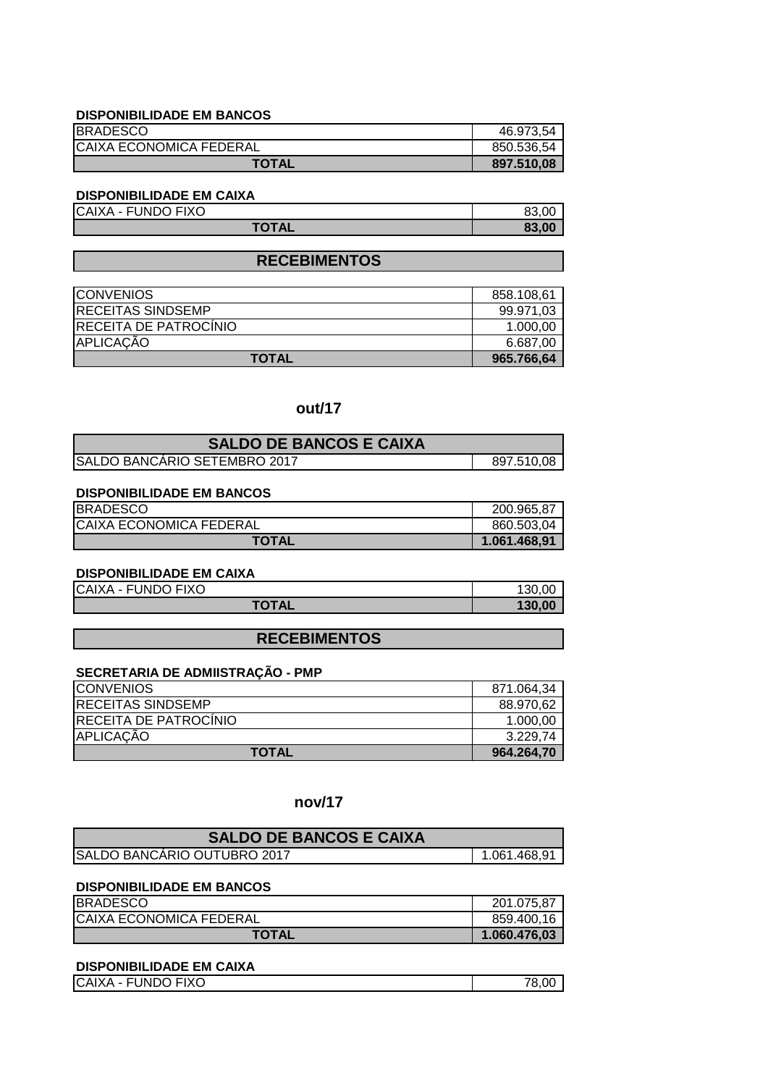#### **DISPONIBILIDADE EM BANCOS**

| <b>BRADESCO</b>                | 46.973.54  |
|--------------------------------|------------|
| <b>CAIXA ECONOMICA FEDERAL</b> | 850.536,54 |
| <b>TOTAL</b>                   | 897.510,08 |

### **DISPONIBILIDADE EM CAIXA**

| CAIXA - FUNDO FIXO | ົ<br>OJ. |
|--------------------|----------|
| <b>TOTAL</b>       | 83.00    |

## **RECEBIMENTOS**

| <b>ICONVENIOS</b>             | 858.108,61 |
|-------------------------------|------------|
| <b>IRECEITAS SINDSEMP</b>     | 99.971,03  |
| <b>IRECEITA DE PATROCINIO</b> | 1.000.00   |
| <b>APLICAÇÃO</b>              | 6.687.00   |
| <b>TOTAL</b>                  | 965.766,64 |

### **out/17**

| <b>SALDO DE BANCOS E CAIXA</b>       |            |
|--------------------------------------|------------|
| <b>ISALDO BANCARIO SETEMBRO 2017</b> | 897.510,08 |

## **DISPONIBILIDADE EM BANCOS**

| <b>IBRADESCO</b>               | 200.965.87   |
|--------------------------------|--------------|
| <b>CAIXA ECONOMICA FEDERAL</b> | 860.503.04   |
| <b>TOTAL</b>                   | 1.061.468,91 |

### **DISPONIBILIDADE EM CAIXA**

| CAIXA - FUNDO FIXO | 130    |
|--------------------|--------|
| <b>TOTAL</b>       | 130,00 |

### **RECEBIMENTOS**

### **SECRETARIA DE ADMIISTRAÇÃO - PMP**

| <b>ICONVENIOS</b>             | 871.064,34 |
|-------------------------------|------------|
| <b>IRECEITAS SINDSEMP</b>     | 88.970.62  |
| <b>IRECEITA DE PATROCINIO</b> | 1.000.00   |
| <b>APLICACÃO</b>              | 3.229.74   |
| <b>TOTAL</b>                  | 964.264,70 |

### **nov/17**

| <b>SALDO DE BANCOS E CAIXA</b>      |              |
|-------------------------------------|--------------|
| <b>ISALDO BANCARIO OUTUBRO 2017</b> | 1.061.468.91 |

### **DISPONIBILIDADE EM BANCOS**

| <b>TOTAL</b>                   | 1.060.476,03 |
|--------------------------------|--------------|
| <b>CAIXA ECONOMICA FEDERAL</b> | 859.400.16   |
| <b>BRADESCO</b>                | 201.075,87   |

#### **DISPONIBILIDADE EM CAIXA**

| <b>UNDO FIXC</b><br><b>ICA</b><br>$\mathbf{w}$<br>$\Lambda$<br>-<br>--<br>. $N_{\rm A}$ | 70.<br>ΩC |
|-----------------------------------------------------------------------------------------|-----------|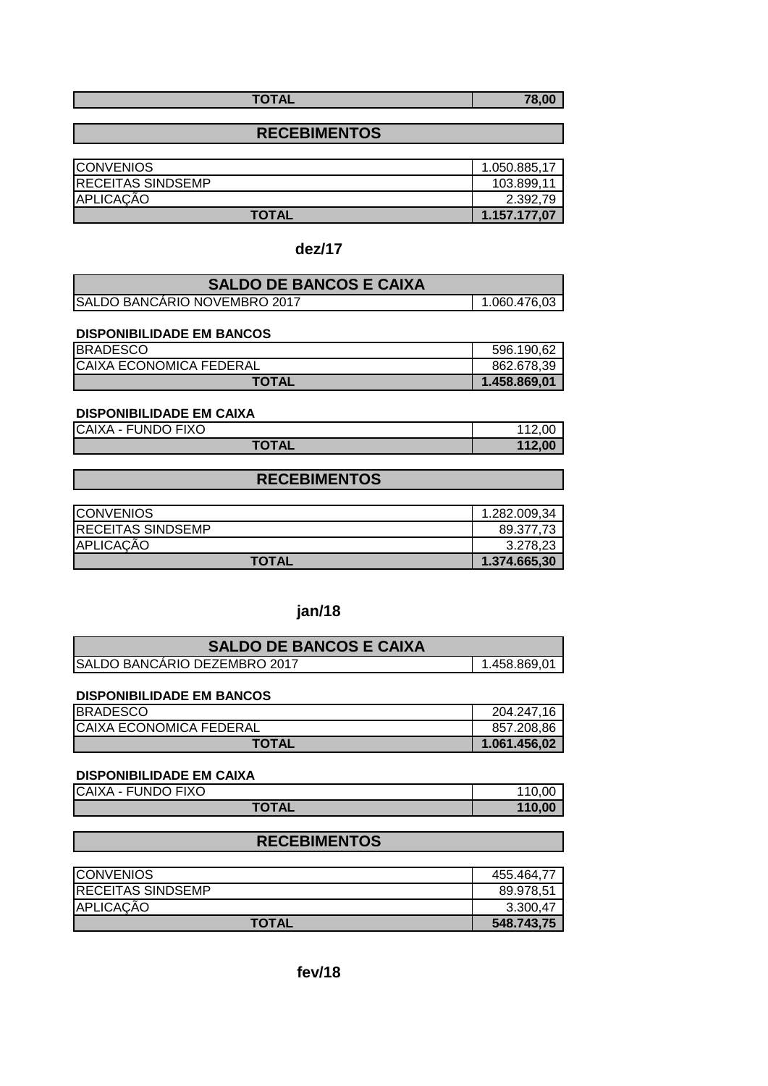| <b>TOTAL</b> | 78,00 |
|--------------|-------|
|              |       |

## **RECEBIMENTOS**

| <b>CONVENIOS</b>         | 1.050.885,17 |
|--------------------------|--------------|
| <b>RECEITAS SINDSEMP</b> | 103.899.11   |
| APLICAÇÃO                | 2.392.79     |
| <b>TOTAL</b>             | 1.157.177,07 |

## **dez/17**

| <b>SALDO DE BANCOS E CAIXA</b>       |              |
|--------------------------------------|--------------|
| <b>ISALDO BANCARIO NOVEMBRO 2017</b> | 1.060.476,03 |

### **DISPONIBILIDADE EM BANCOS**

| <b>BRADESCO</b>                | 596.190,62   |
|--------------------------------|--------------|
| <b>CAIXA ECONOMICA FEDERAL</b> | 862.678.39   |
| <b>TOTAL</b>                   | 1.458.869,01 |

### **DISPONIBILIDADE EM CAIXA**

| CAIXA - FUNDO FIXO | 112.00 |
|--------------------|--------|
| <b>TOTAL</b>       | 112,00 |

## **RECEBIMENTOS**

| <b>ICONVENIOS</b>        | 1.282.009,34 |
|--------------------------|--------------|
| <b>RECEITAS SINDSEMP</b> | 89.377.73    |
| APLICAÇÃO                | 3.278.23     |
| <b>TOTAL</b>             | 1.374.665,30 |

## **jan/18**

| <b>SALDO DE BANCOS E CAIXA</b>      |              |
|-------------------------------------|--------------|
| <b>SALDO BANCARIO DEZEMBRO 2017</b> | 1.458.869.01 |

#### **DISPONIBILIDADE EM BANCOS**

| <b>IBRADESCO</b>               | 204.247.16   |
|--------------------------------|--------------|
| <b>CAIXA ECONOMICA FEDERAL</b> | 857.208,86   |
| <b>TOTAL</b>                   | 1.061.456,02 |

### **DISPONIBILIDADE EM CAIXA**

| CAIXA - FUNDO FIXO |        |
|--------------------|--------|
| <b>TOTAL</b>       | 110,00 |

## **RECEBIMENTOS**

| <b>CONVENIOS</b>          | 455.464.77 |
|---------------------------|------------|
| <b>IRECEITAS SINDSEMP</b> | 89.978,51  |
| APLICAÇÃO                 | 3.300.47   |
| <b>TOTAL</b>              | 548.743,75 |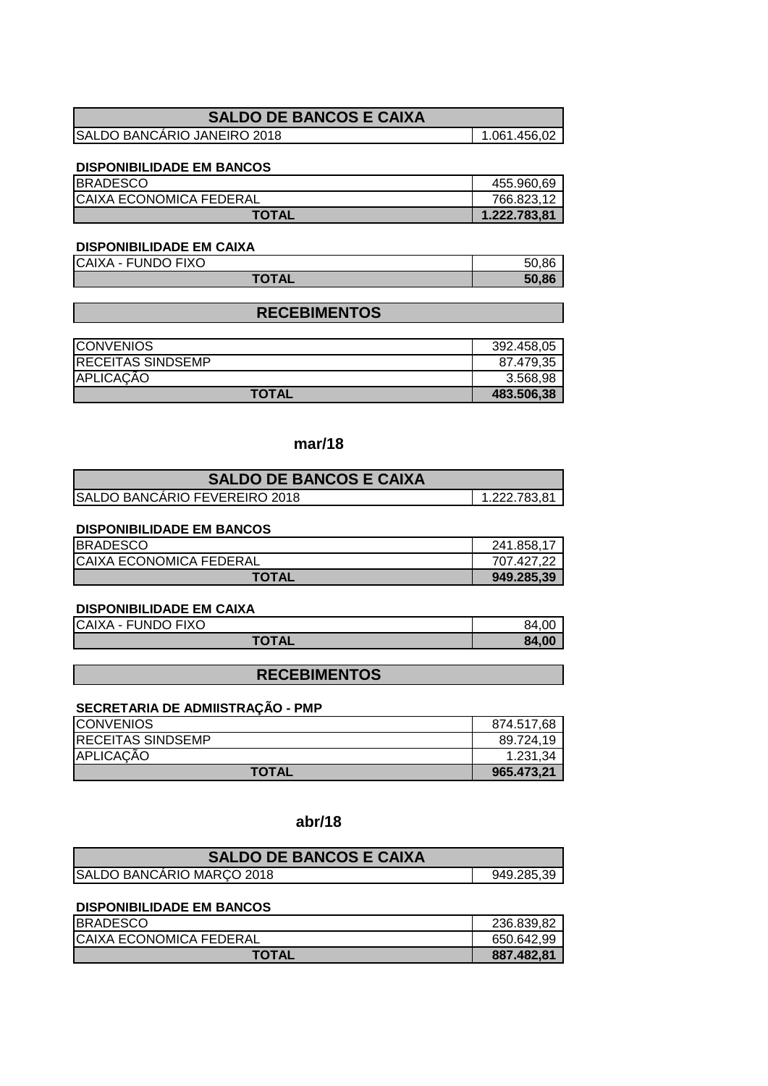| <b>SALDO DE BANCOS E CAIXA</b> |                |
|--------------------------------|----------------|
| SALDO BANCÁRIO JANEIRO 2018    | $1.061.456,02$ |

#### **DISPONIBILIDADE EM BANCOS**

| <b>IBRADESCO</b>               | 455.960.69   |
|--------------------------------|--------------|
| <b>CAIXA ECONOMICA FEDERAL</b> | 766.823.12   |
| <b>TOTAL</b>                   | 1.222.783.81 |

#### **DISPONIBILIDADE EM CAIXA**

| CAIXA - FUNDO FIXO | 50.8F |
|--------------------|-------|
| TOTAL              | 50.86 |

### **RECEBIMENTOS**

| <b>CONVENIOS</b>         | 392.458,05 |
|--------------------------|------------|
| <b>RECEITAS SINDSEMP</b> | 87.479.35  |
| APLICAÇÃO                | 3.568,98   |
| <b>TOTAL</b>             | 483.506,38 |

### **mar/18**

| <b>SALDO DE BANCOS E CAIXA</b> |              |
|--------------------------------|--------------|
| ISALDO BANCARIO FEVEREIRO 2018 | 1.222.783.81 |

#### **DISPONIBILIDADE EM BANCOS**

| <b>IBRADESCO</b>               | 241.858,1  |
|--------------------------------|------------|
| <b>CAIXA ECONOMICA FEDERAL</b> | 707.427.22 |
| <b>TOTAL</b>                   | 949.285,39 |

#### **DISPONIBILIDADE EM CAIXA**

CAIXA - FUNDO FIXO 84,00

**TOTAL 84,00**

### **RECEBIMENTOS**

### **SECRETARIA DE ADMIISTRAÇÃO - PMP**

| <b>CONVENIOS</b>          | 874.517.68 |
|---------------------------|------------|
| <b>IRECEITAS SINDSEMP</b> | 89.724.19  |
| APLICAÇÃO                 | 1.231.34   |
| <b>TOTAL</b>              | 965.473.21 |

### **abr/18**

| <b>SALDO DE BANCOS E CAIXA</b> |            |
|--------------------------------|------------|
| SALDO BANCÁRIO MARÇO 2018      | 949.285.39 |

#### **DISPONIBILIDADE EM BANCOS**

| <b>IBRADESCO</b>               | 236.839,82 |
|--------------------------------|------------|
| <b>CAIXA ECONOMICA FEDERAL</b> | 650.642.99 |
| <b>TOTAL</b>                   | 887.482,81 |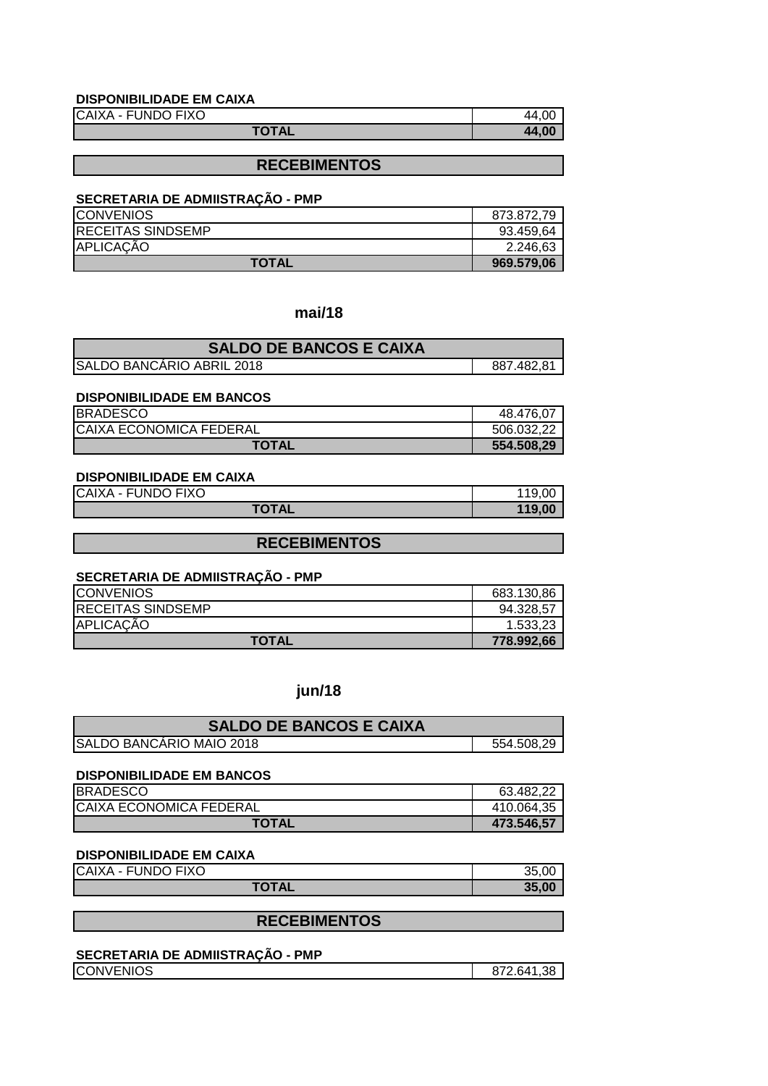#### **DISPONIBILIDADE EM CAIXA**

| <b>CAIXA</b><br>UNDO FIXO<br>LEP" | ОC |
|-----------------------------------|----|
| <b>TOTAL</b>                      |    |
|                                   |    |

### **RECEBIMENTOS**

#### **SECRETARIA DE ADMIISTRAÇÃO - PMP**

| <b>ICONVENIOS</b>         | 873.872.79 |
|---------------------------|------------|
| <b>IRECEITAS SINDSEMP</b> | 93.459.64  |
| APLICAÇÃO                 | 2.246.63   |
| <b>TOTAL</b>              | 969.579,06 |

### **mai/18**

| <b>SALDO DE BANCOS E CAIXA</b>   |            |
|----------------------------------|------------|
| <b>SALDO BANCARIO ABRIL 2018</b> | 887.482.81 |

#### **DISPONIBILIDADE EM BANCOS**

| <b>IBRADESCO</b>               | 48.476.07  |
|--------------------------------|------------|
| <b>CAIXA ECONOMICA FEDERAL</b> | 506.032.22 |
| <b>TOTAL</b>                   | 554.508.29 |

#### **DISPONIBILIDADE EM CAIXA**

| <b>CAIXA - FUNDO FIXO</b> | 119.00 |
|---------------------------|--------|
| <b>TOTAL</b>              | 119,00 |

### **RECEBIMENTOS**

#### **SECRETARIA DE ADMIISTRAÇÃO - PMP**

| <b>ICONVENIOS</b>         | 683.130.86 |
|---------------------------|------------|
| <b>IRECEITAS SINDSEMP</b> | 94.328.57  |
| APLICAÇÃO                 | 1.533.23   |
| <b>TOTAL</b>              | 778.992.66 |

**jun/18**

| <b>SALDO DE BANCOS E CAIXA</b>  |            |
|---------------------------------|------------|
| <b>SALDO BANCARIO MAIO 2018</b> | 554.508.29 |

#### **DISPONIBILIDADE EM BANCOS**

| <b>IBRADESCO</b>               | 63.482,22  |
|--------------------------------|------------|
| <b>CAIXA ECONOMICA FEDERAL</b> | 410.064,35 |
| <b>TOTAL</b>                   | 473.546,57 |

#### **DISPONIBILIDADE EM CAIXA**

| CAIXA - FUNDO FIXO | 35.00 |
|--------------------|-------|
| TOTAL              | 35.00 |

### **RECEBIMENTOS**

### **SECRETARIA DE ADMIISTRAÇÃO - PMP**

CONVENIOS 872.641,38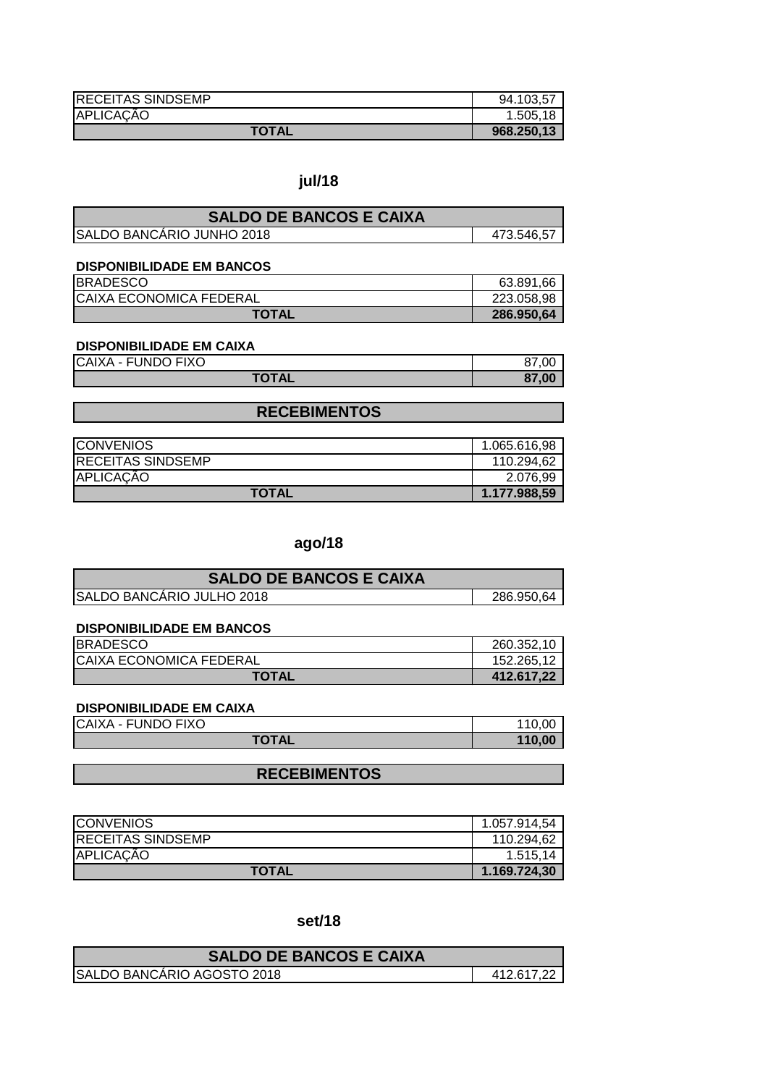| <b>RECEITAS SINDSEMP</b> | 94.103.57  |
|--------------------------|------------|
| <b>APLICAÇÃO</b>         | 1.505.18   |
| <b>TOTAL</b>             | 968.250.13 |

## **jul/18**

| <b>SALDO DE BANCOS E CAIXA</b>    |            |
|-----------------------------------|------------|
| <b>ISALDO BANCARIO JUNHO 2018</b> | 473.546.57 |

#### **DISPONIBILIDADE EM BANCOS**

| <b>BRADESCO</b>                | .66<br>63.891, |
|--------------------------------|----------------|
| <b>CAIXA ECONOMICA FEDERAL</b> | 223.058,98     |
| <b>TOTAL</b>                   | 286.950.64     |

### **DISPONIBILIDADE EM CAIXA**

| CAIXA - FUNDO FIXO | 87.00 |
|--------------------|-------|
| TOTAL              | 87,00 |

## **RECEBIMENTOS**

| <b>CONVENIOS</b>          | 1.065.616,98 |
|---------------------------|--------------|
| <b>IRECEITAS SINDSEMP</b> | 110.294.62   |
| <b>APLICAÇÃO</b>          | 2.076.99     |
| <b>TOTAL</b>              | 1.177.988.59 |

## **ago/18**

| <b>SALDO DE BANCOS E CAIXA</b>    |            |
|-----------------------------------|------------|
| <b>ISALDO BANCARIO JULHO 2018</b> | 286.950.64 |

### **DISPONIBILIDADE EM BANCOS**

| <b>BRADESCO</b>                | 260.352.10 |
|--------------------------------|------------|
| <b>CAIXA ECONOMICA FEDERAL</b> | 152.265.12 |
| <b>TOTAL</b>                   | 412.617.22 |

### **DISPONIBILIDADE EM CAIXA**

| <b>CAIXA - FUNDO FIXO</b> | 110.00 |
|---------------------------|--------|
| <b>TOTAL</b>              | 110.00 |

## **RECEBIMENTOS**

| <b>CONVENIOS</b>         | 1.057.914,54 |
|--------------------------|--------------|
| <b>RECEITAS SINDSEMP</b> | 110.294,62   |
| APLICAÇÃO                | 1.515.14     |
| <b>TOTAL</b>             | 1.169.724,30 |

#### **set/18**

| <b>SALDO DE BANCOS E CAIXA</b>     |            |
|------------------------------------|------------|
| <b>ISALDO BANCARIO AGOSTO 2018</b> | 412.617.22 |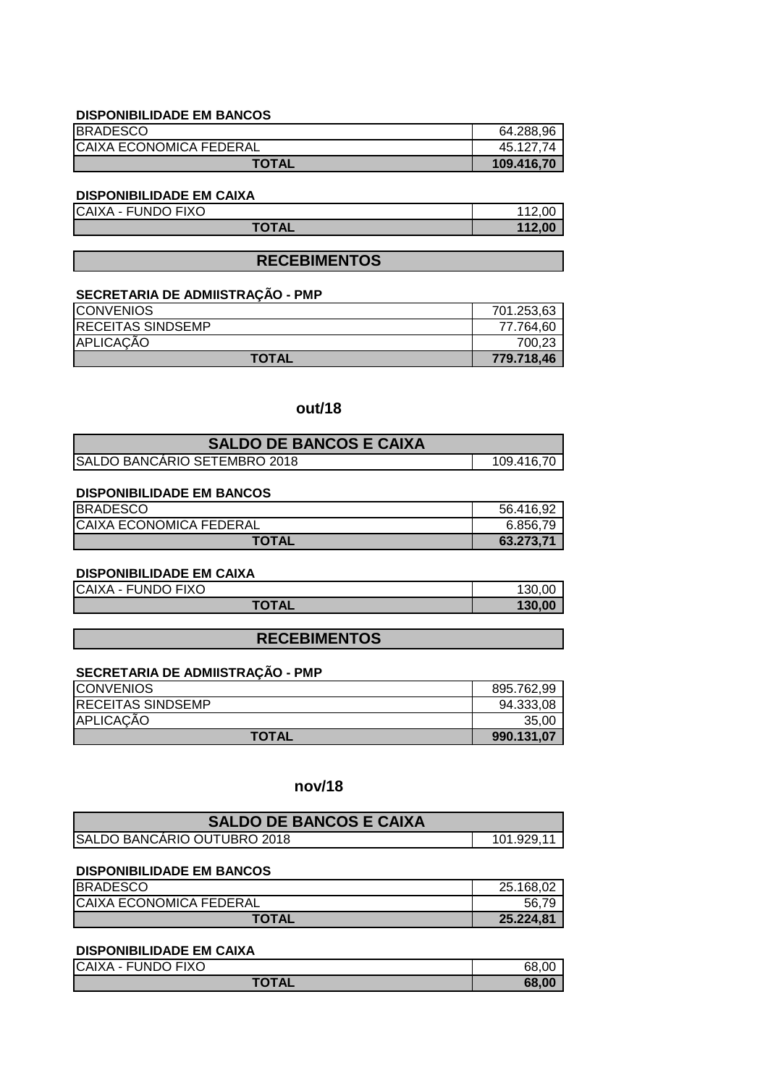#### **DISPONIBILIDADE EM BANCOS**

| <b>BRADESCO</b>                | 64.288.96  |
|--------------------------------|------------|
| <b>CAIXA ECONOMICA FEDERAL</b> | 45.127.74  |
| <b>TOTAL</b>                   | 109.416,70 |

### **DISPONIBILIDADE EM CAIXA**

| CAIXA - FUNDO FIXO | 112 00 |
|--------------------|--------|
| <b>TOTAL</b>       | 112,00 |

### **RECEBIMENTOS**

#### **SECRETARIA DE ADMIISTRAÇÃO - PMP**

| <b>ICONVENIOS</b>        | 701.253.63 |
|--------------------------|------------|
| <b>RECEITAS SINDSEMP</b> | 77.764,60  |
| APLICAÇÃO                | 700.23     |
| <b>TOTAL</b>             | 779.718.46 |

### **out/18**

| <b>SALDO DE BANCOS E CAIXA</b>       |            |
|--------------------------------------|------------|
| <b>ISALDO BANCARIO SETEMBRO 2018</b> | 109.416.70 |

### **DISPONIBILIDADE EM BANCOS**

| <b>BRADESCO</b>                | 56.416,92 |
|--------------------------------|-----------|
| <b>CAIXA ECONOMICA FEDERAL</b> | 6.856.79  |
| TOTAL                          | 63.273.71 |

### **DISPONIBILIDADE EM CAIXA**

| CAIXA - FUNDO FIXO | 130.0 <sub>0</sub> |
|--------------------|--------------------|
| <b>TOTAL</b>       | 130,00             |

### **RECEBIMENTOS**

### **SECRETARIA DE ADMIISTRAÇÃO - PMP**

| <b>ICONVENIOS</b>         | 895.762.99 |
|---------------------------|------------|
| <b>IRECEITAS SINDSEMP</b> | 94.333.08  |
| APLICAÇÃO                 | 35.00      |
| <b>TOTAL</b>              | 990.131.07 |

### **nov/18**

| <b>SALDO DE BANCOS E CAIXA</b>      |            |
|-------------------------------------|------------|
| <b>ISALDO BANCARIO OUTUBRO 2018</b> | 101.929.11 |

#### **DISPONIBILIDADE EM BANCOS**

| <b>BRADESCO</b>                | 25.168.02 |
|--------------------------------|-----------|
| <b>CAIXA ECONOMICA FEDERAL</b> | 56.       |
| <b>TOTAL</b>                   | 25.224.81 |

### **DISPONIBILIDADE EM CAIXA**

| <b>CAIXA</b><br><b>- FUNDO FIXO</b> | 68.00 |
|-------------------------------------|-------|
| <b>TOTAL</b>                        | 68.00 |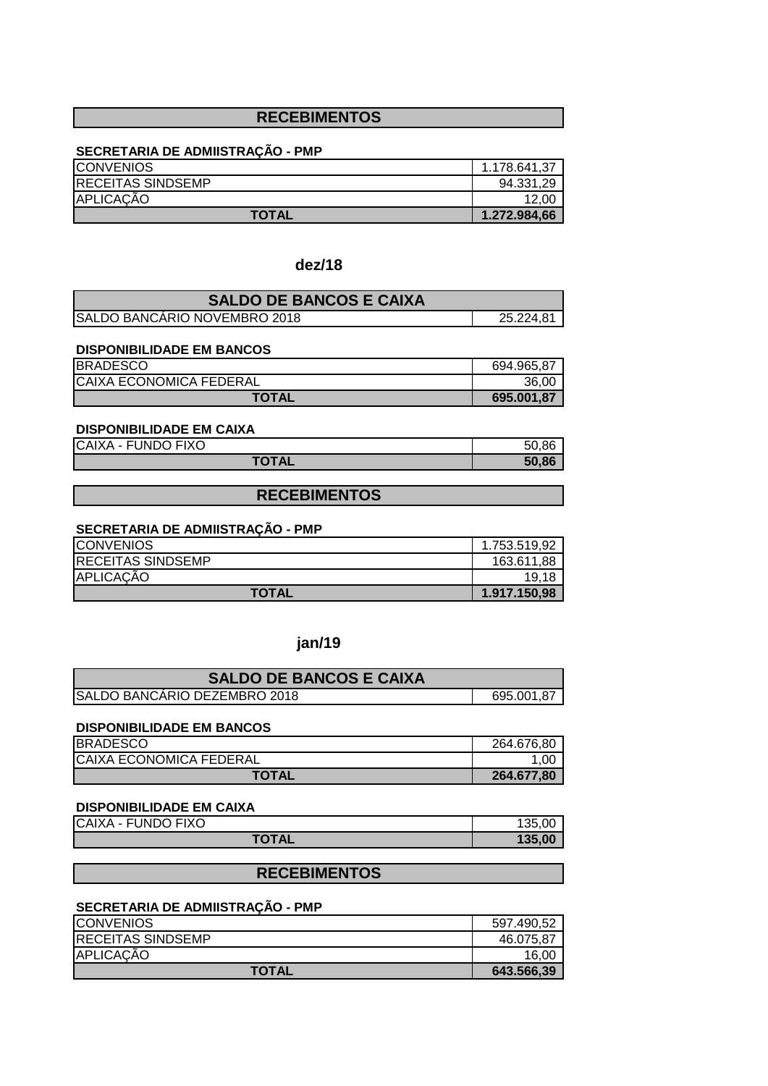### **RECEBIMENTOS**

### **SECRETARIA DE ADMIISTRAÇÃO - PMP**

| <b>ICONVENIOS</b>        | 1.178.641,37 |
|--------------------------|--------------|
| <b>RECEITAS SINDSEMP</b> | 94.331.29    |
| APLICAÇÃO                |              |
| <b>TOTAL</b>             | 1.272.984,66 |

#### **dez/18**

| <b>SALDO DE BANCOS E CAIXA</b>       |  |
|--------------------------------------|--|
| <b>ISALDO BANCARIO NOVEMBRO 2018</b> |  |

#### **DISPONIBILIDADE EM BANCOS**

| <b>BRADESCO</b>                | 694.965.87 |
|--------------------------------|------------|
| <b>CAIXA ECONOMICA FEDERAL</b> | 36.00      |
| <b>TOTAL</b>                   | 695.001.87 |

#### **DISPONIBILIDADE EM CAIXA**

| e. |  |
|----|--|

# CAIXA - FUNDO FIXO<br>
TOTAL 50,86

### **RECEBIMENTOS**

#### **SECRETARIA DE ADMIISTRAÇÃO - PMP**

| <b>CONVENIOS</b>          | 1.753.519,92 |
|---------------------------|--------------|
| <b>IRECEITAS SINDSEMP</b> | 163.611.88   |
| APLICAÇÃO                 | 19.18        |
| <b>TOTAL</b>              | 1.917.150,98 |

### **jan/19**

| <b>SALDO DE BANCOS E CAIXA</b>       |            |
|--------------------------------------|------------|
| <b>ISALDO BANCARIO DEZEMBRO 2018</b> | 695.001.87 |

#### **DISPONIBILIDADE EM BANCOS**

| <b>BRADESCO</b>                | 264.676.80 |
|--------------------------------|------------|
| <b>CAIXA ECONOMICA FEDERAL</b> | .00        |
| <b>TOTAL</b>                   | 264.677.80 |

#### **DISPONIBILIDADE EM CAIXA**

| CAIXA - FUNDO FIXO | 135.00 |
|--------------------|--------|
| TOTAL              | 135.00 |

### **RECEBIMENTOS**

### **SECRETARIA DE ADMIISTRAÇÃO - PMP**

| <b>CONVENIOS</b>          | 597.490,52 |
|---------------------------|------------|
| <b>IRECEITAS SINDSEMP</b> | 46.075.87  |
| APLICAÇÃO                 | 16.00      |
| <b>TOTAL</b>              | 643.566.39 |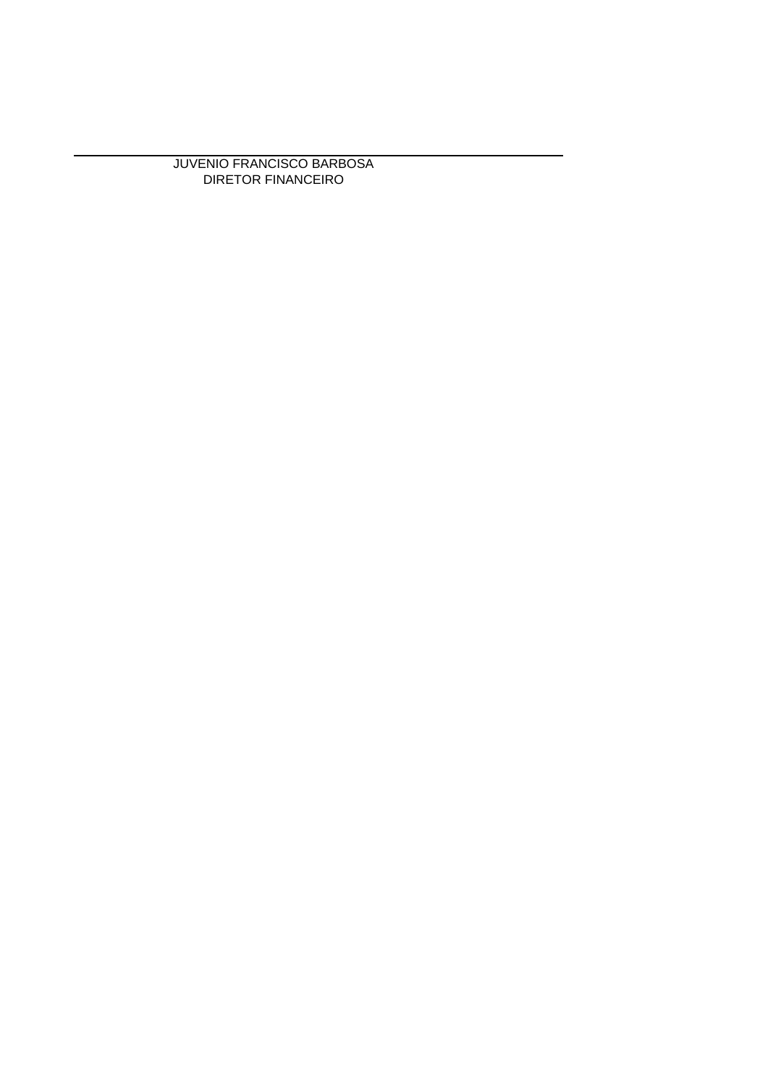JUVENIO FRANCISCO BARBOSA DIRETOR FINANCEIRO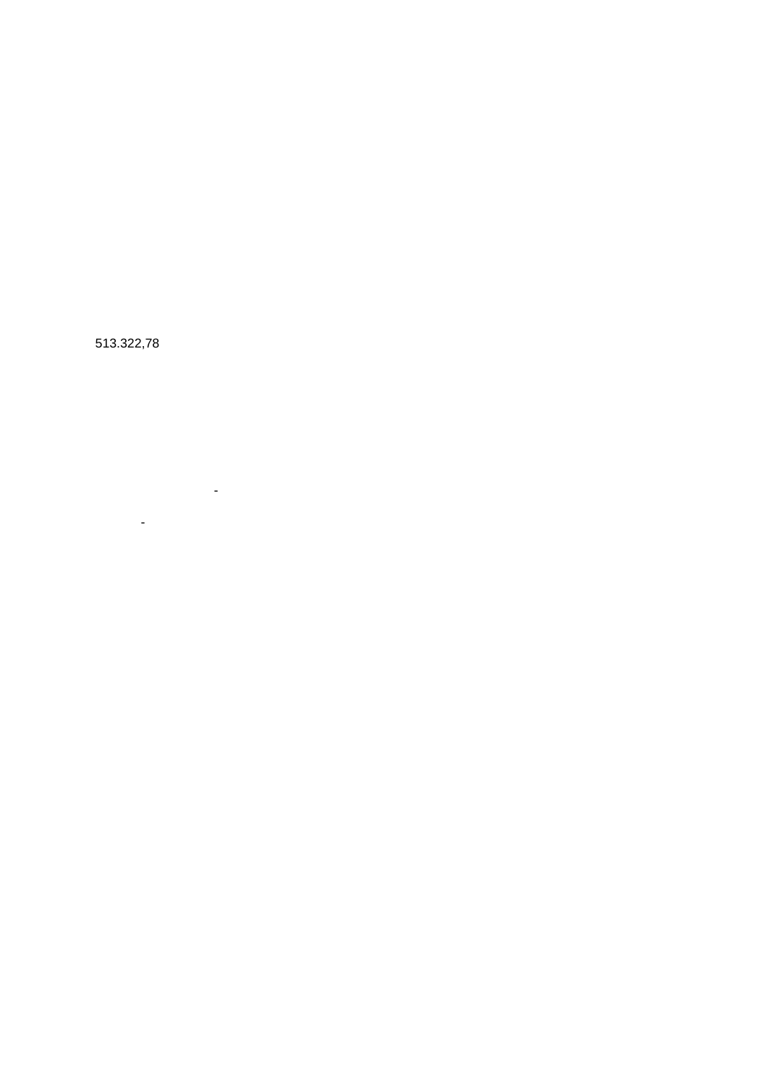513.322,78

 $\sim$  -  $\sim$   $\sim$ 

 $\sim$  -  $\sim$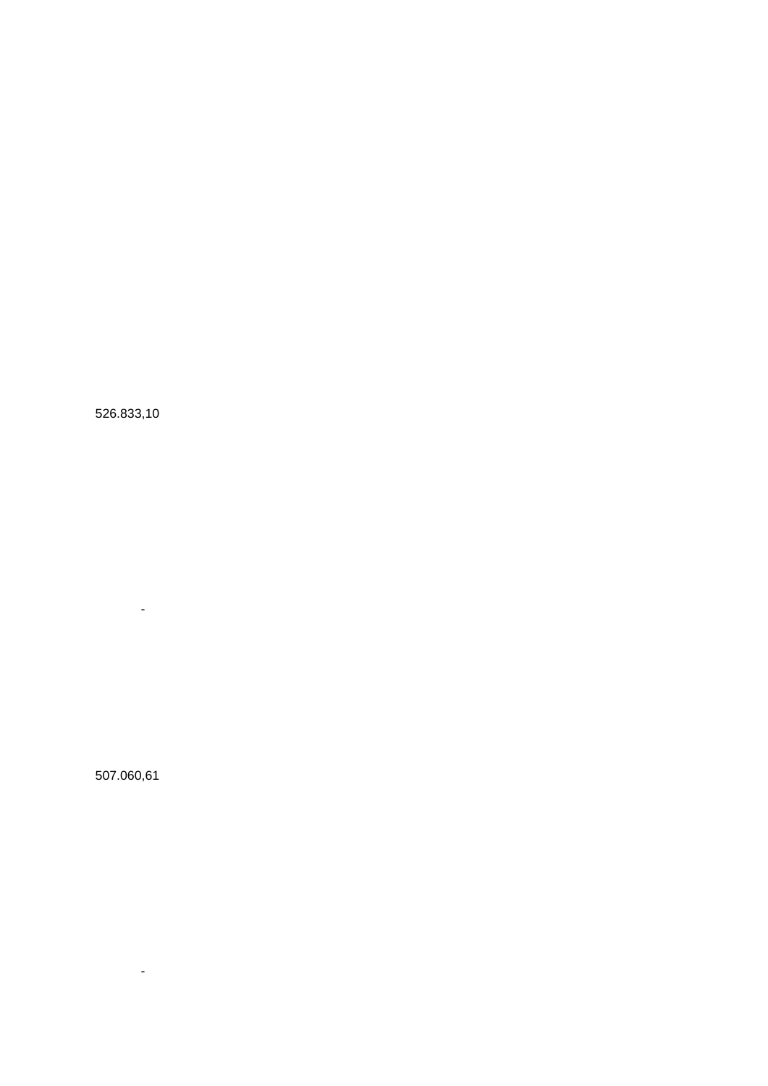526.833,10

507.060,61

-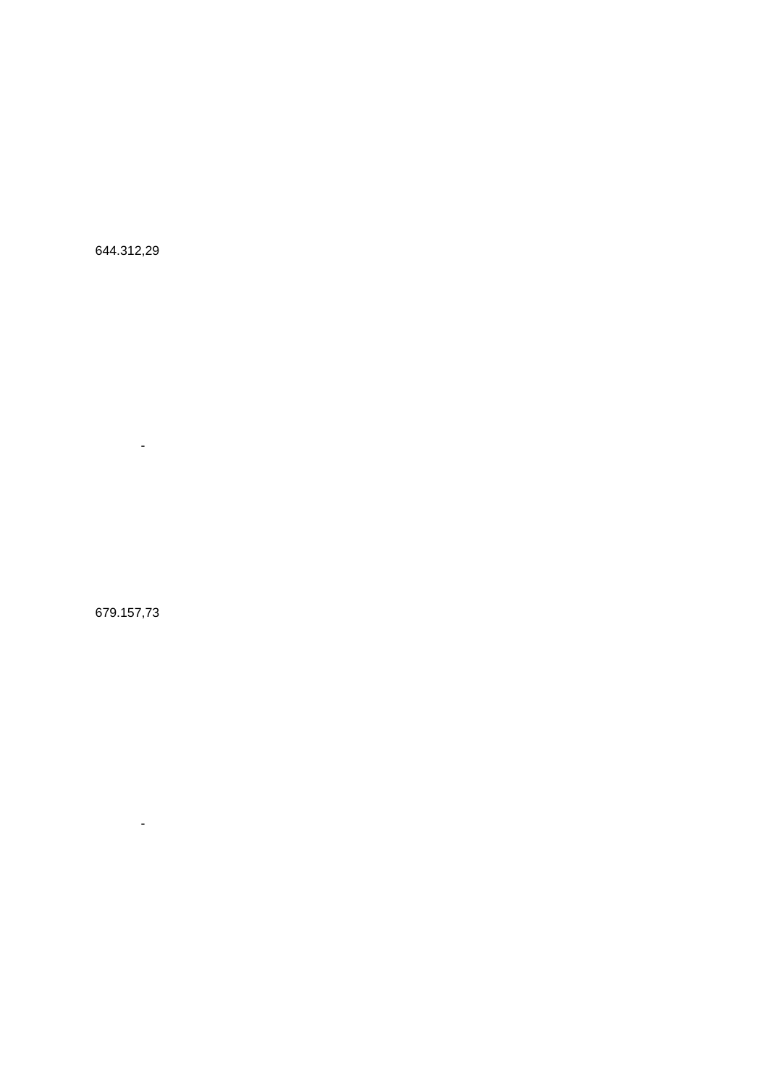644.312,29

679.157,73

-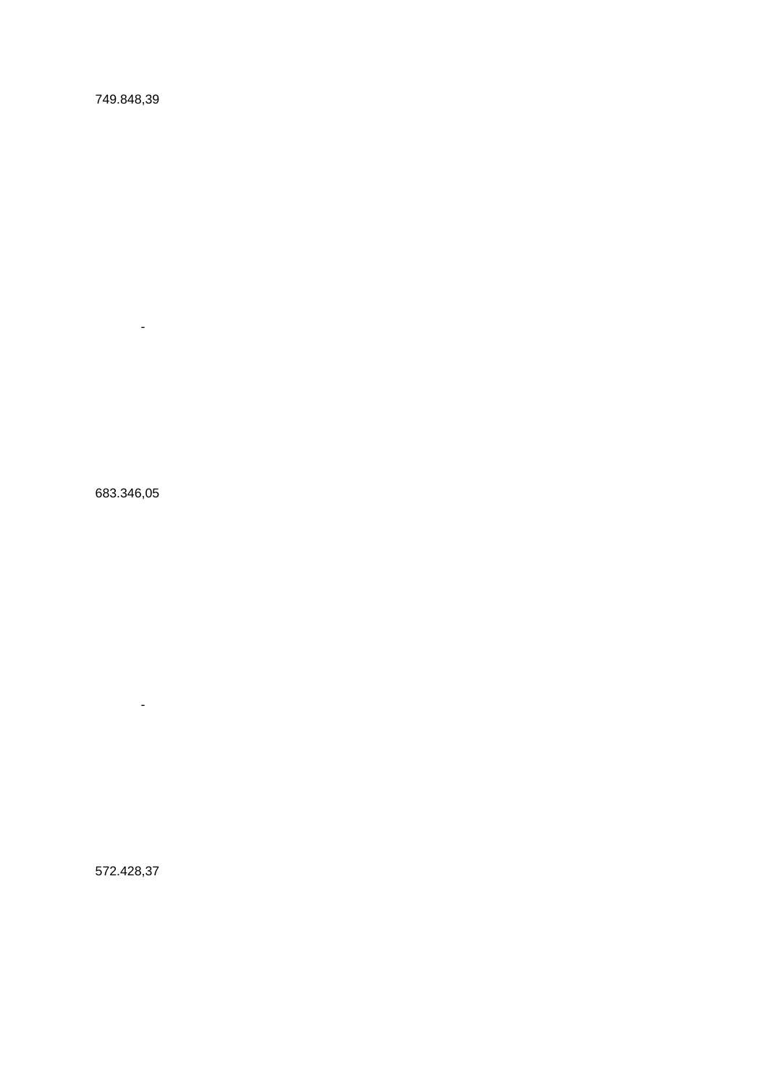749.848,39

683.346,05

-

572.428,37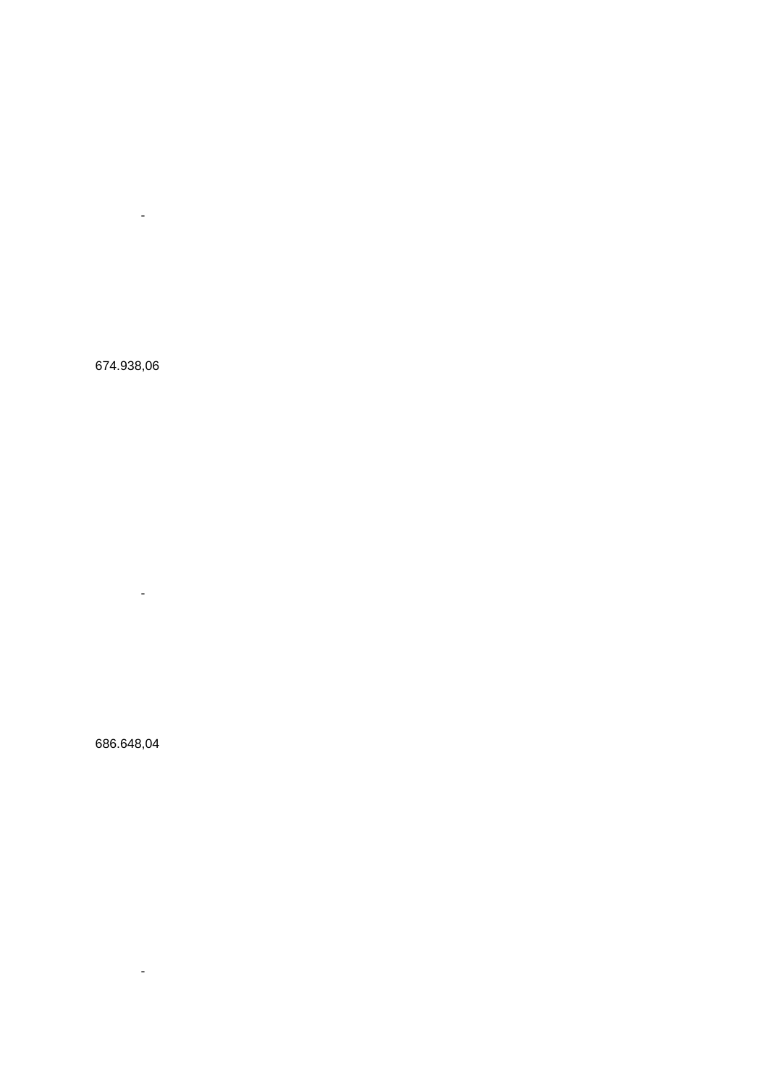674.938,06

 $\sim$ 

686.648,04

-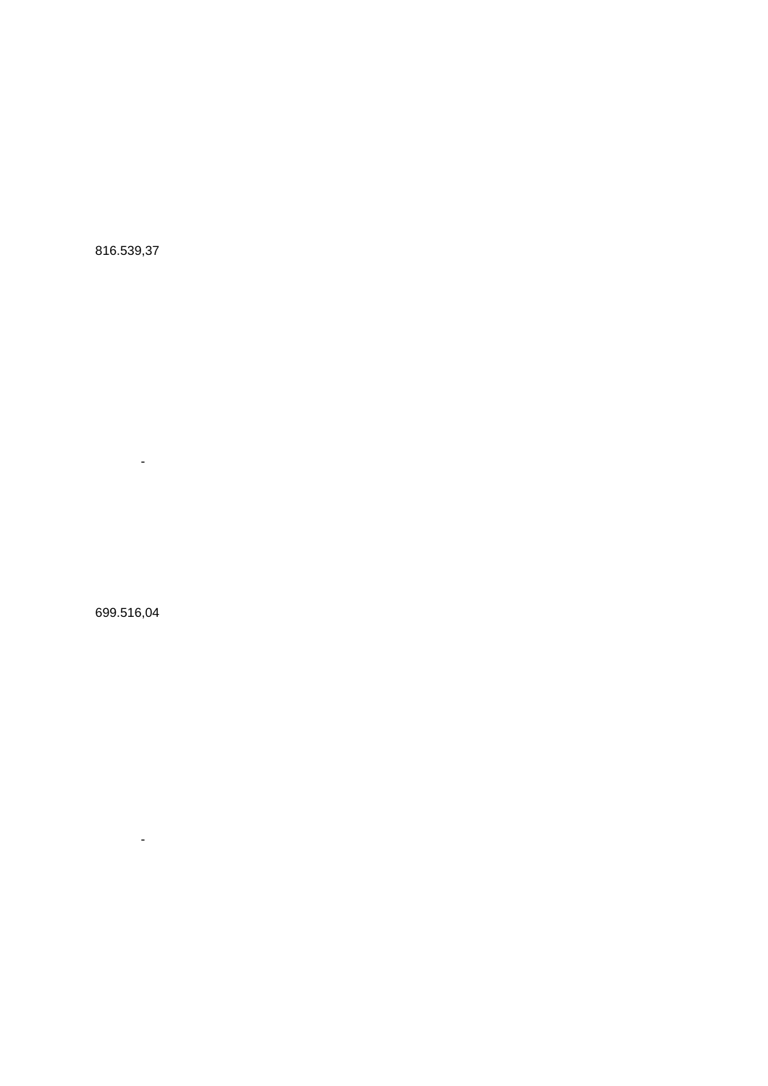816.539,37

699.516,04

-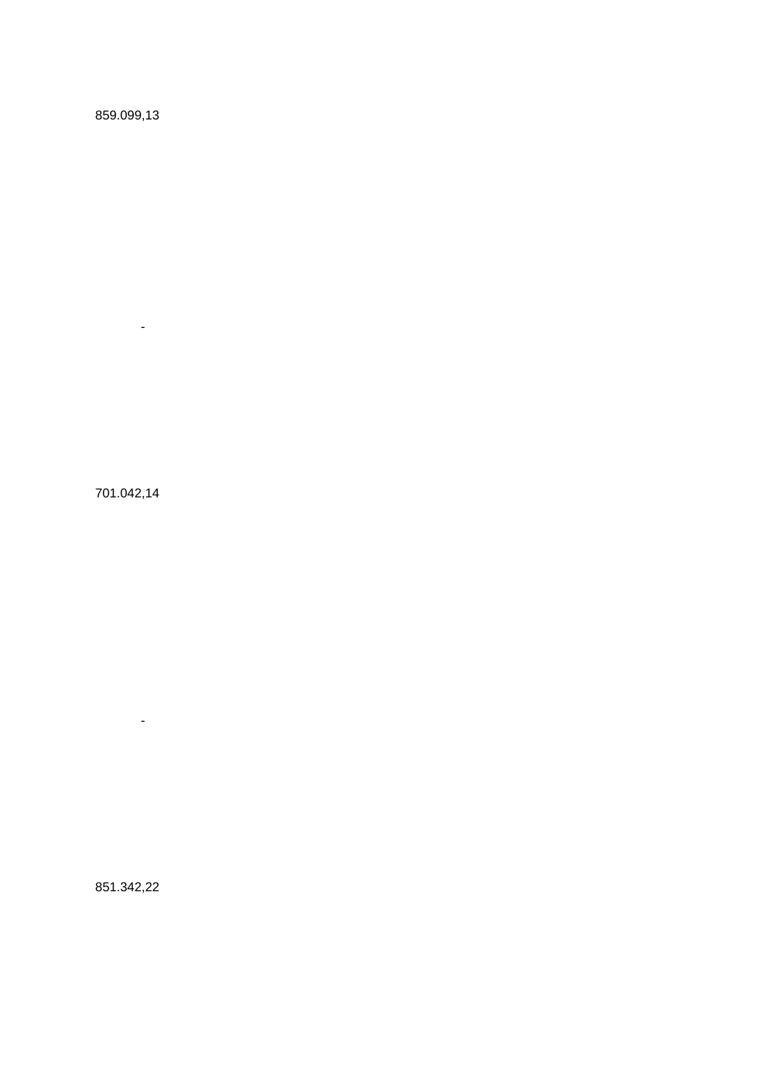859.099,13

701.042,14

-

851.342,22

 $\sim$  -  $\sim$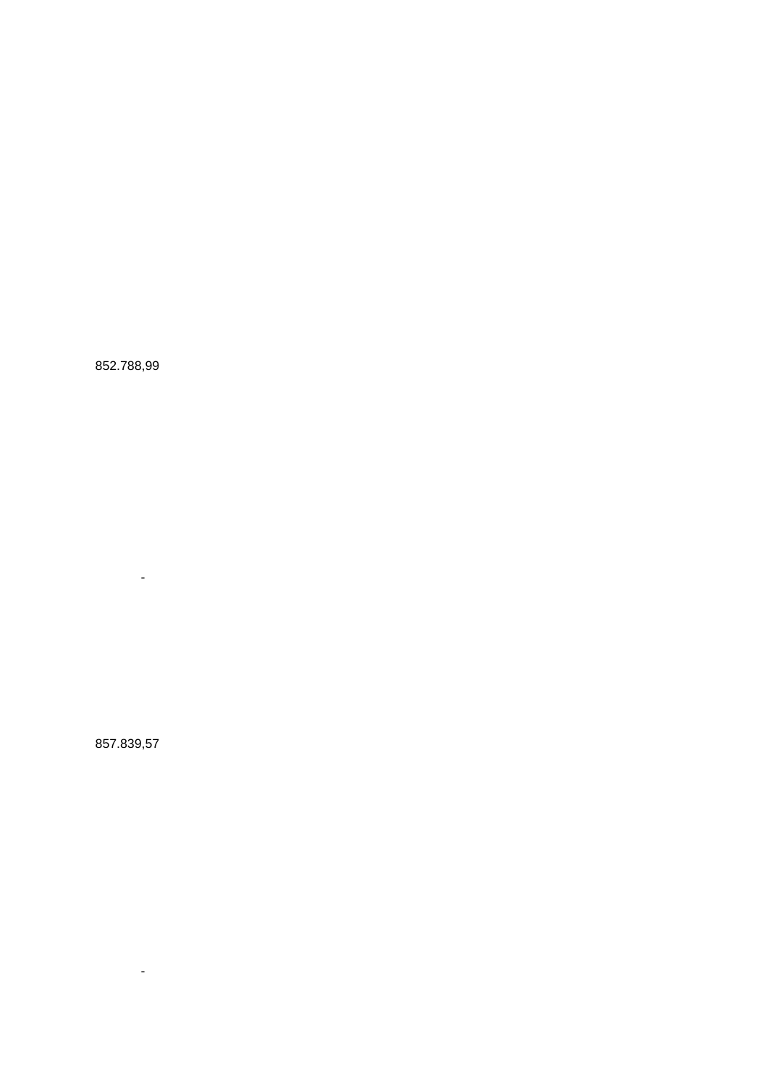852.788,99

857.839,57

-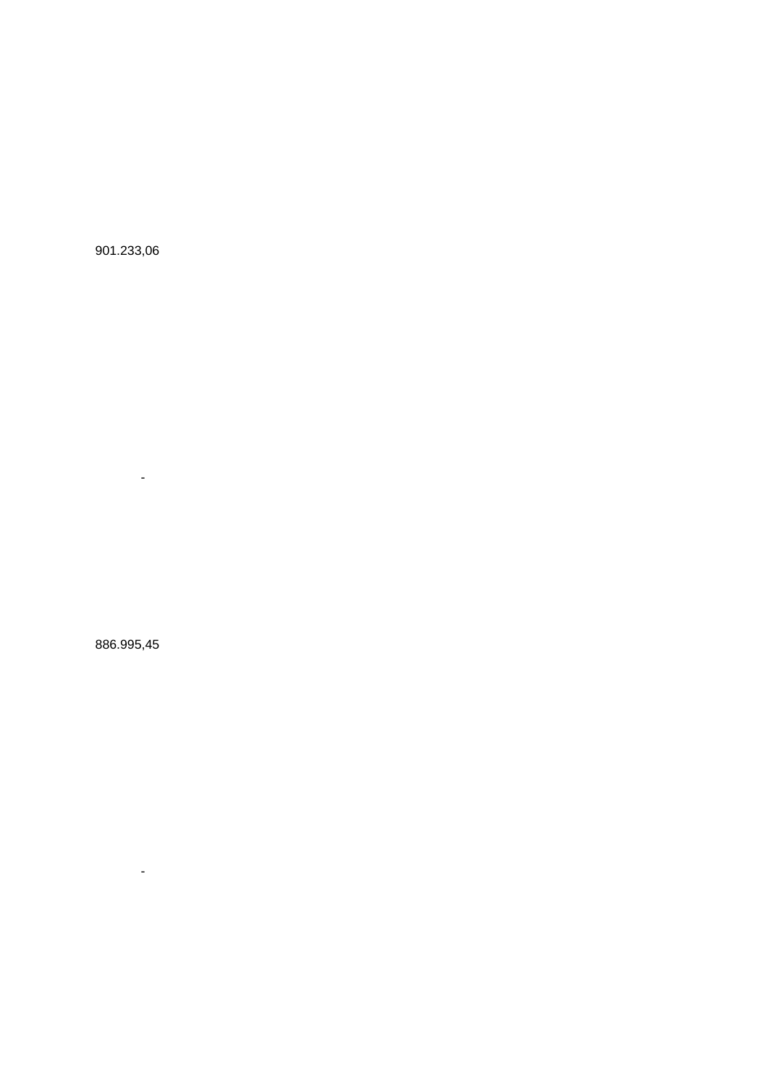901.233,06

886.995,45

-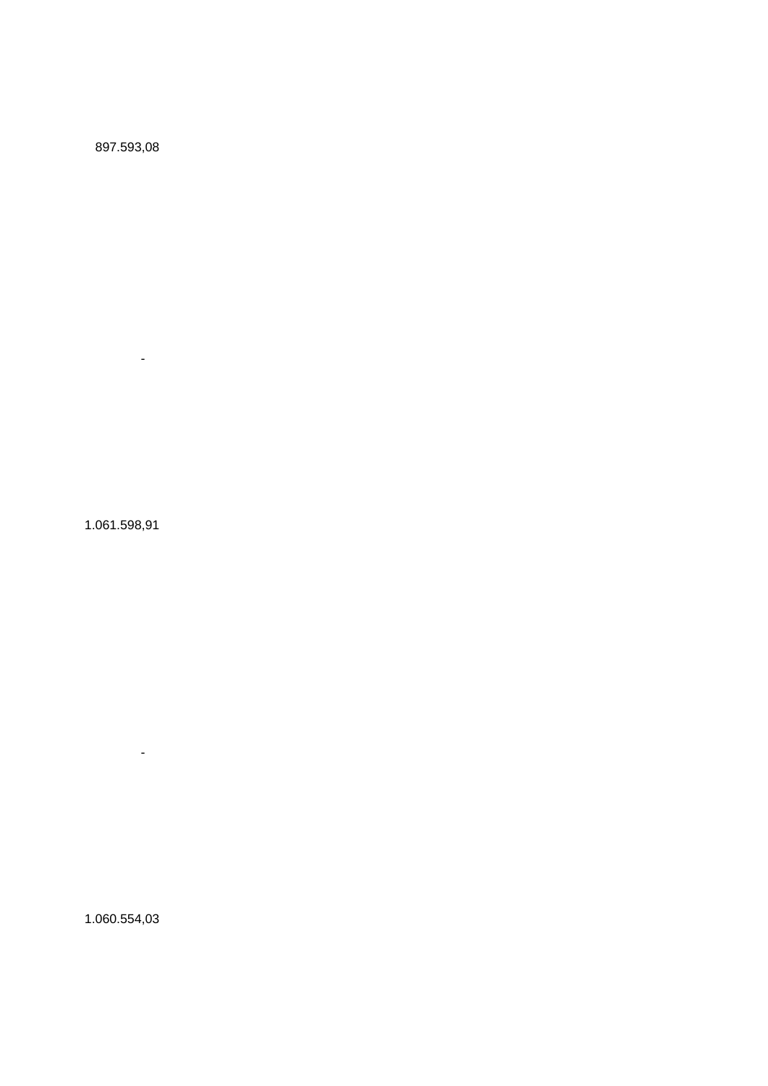897.593,08

1.061.598,91

-

1.060.554,03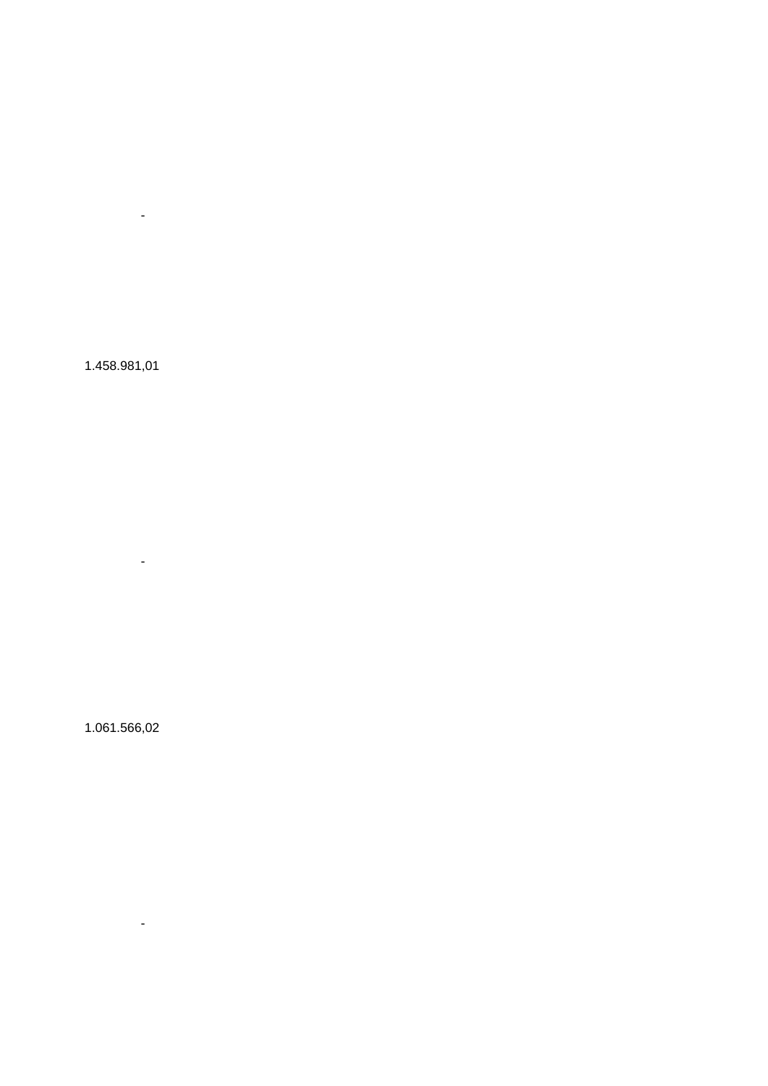1.458.981,01

-

1.061.566,02

 $\sim$  -  $\sim$ 

 $\sim$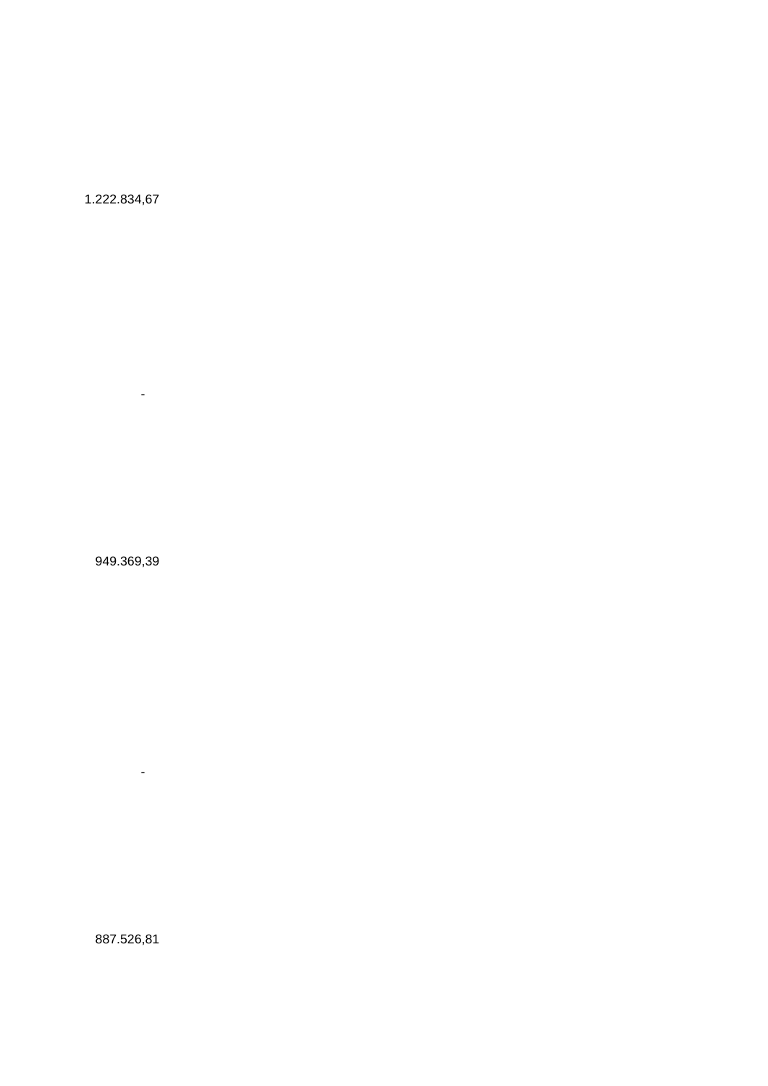1.222.834,67

949.369,39

-

887.526,81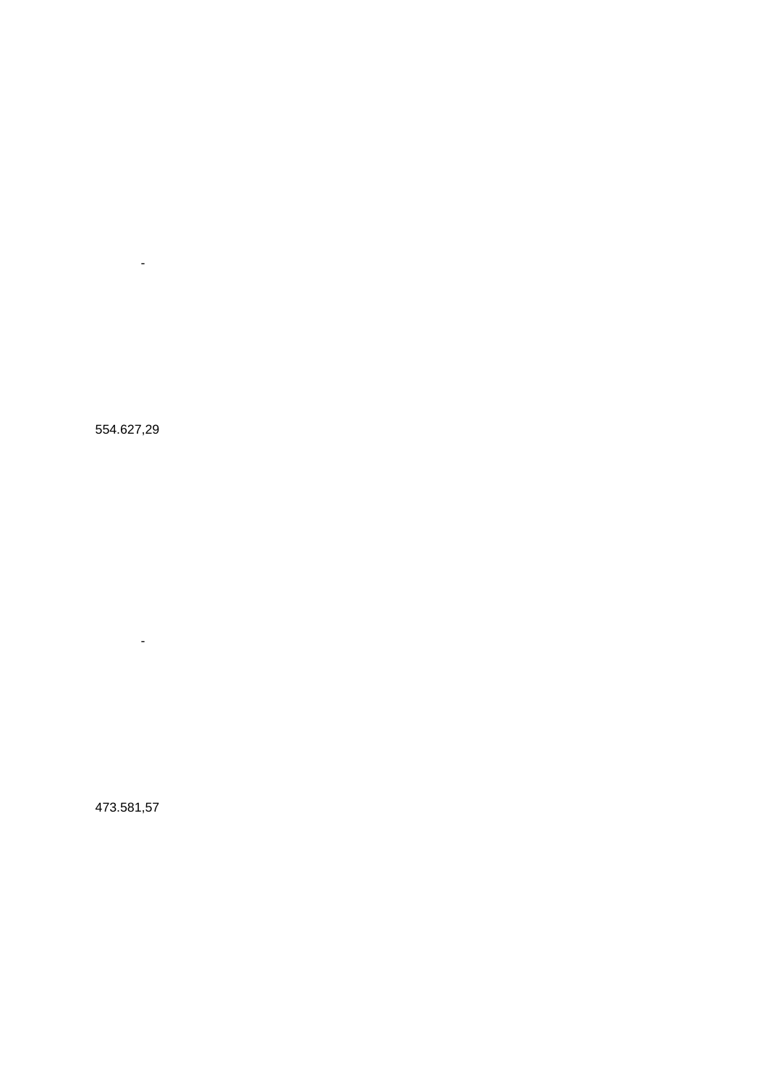554.627,29

-

473.581,57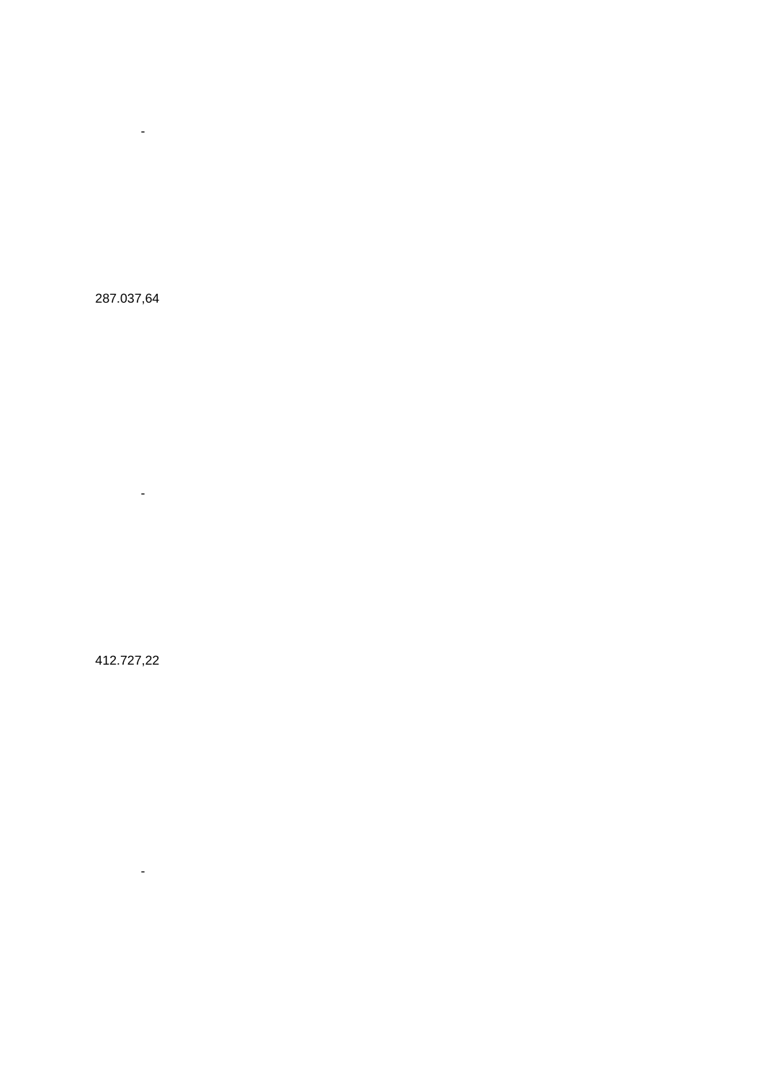287.037,64

 $\sim$  -  $\sim$ 

412.727,22

-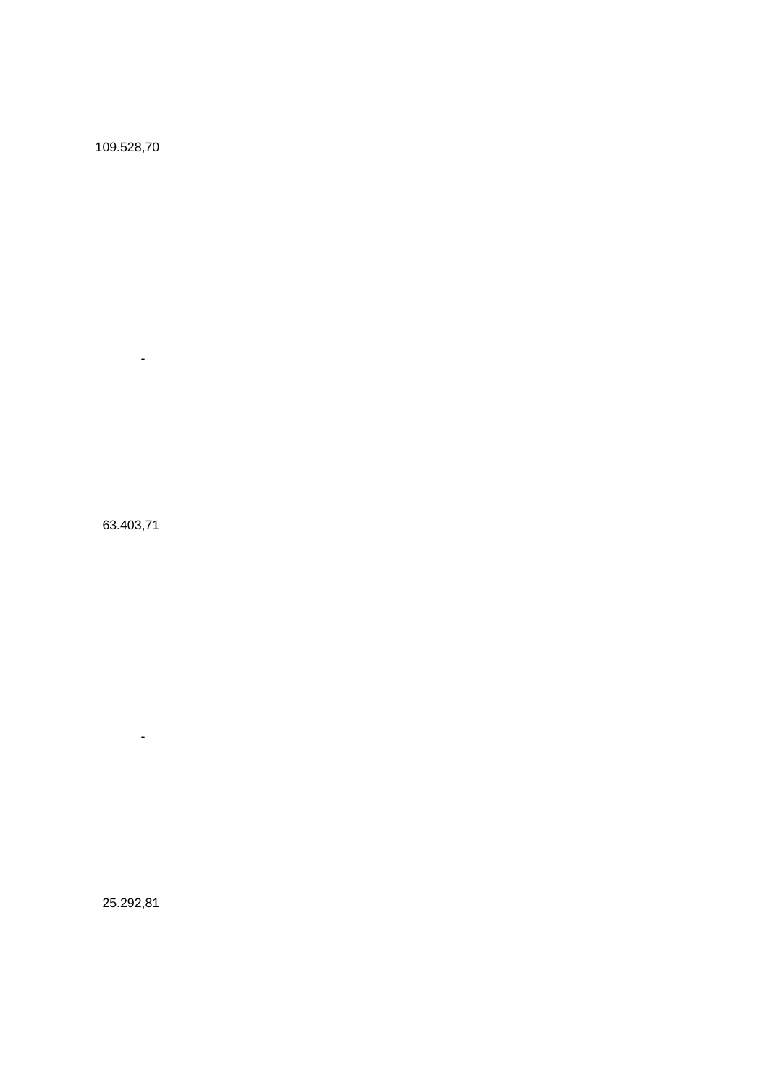109.528,70

63.403,71

-

25.292,81